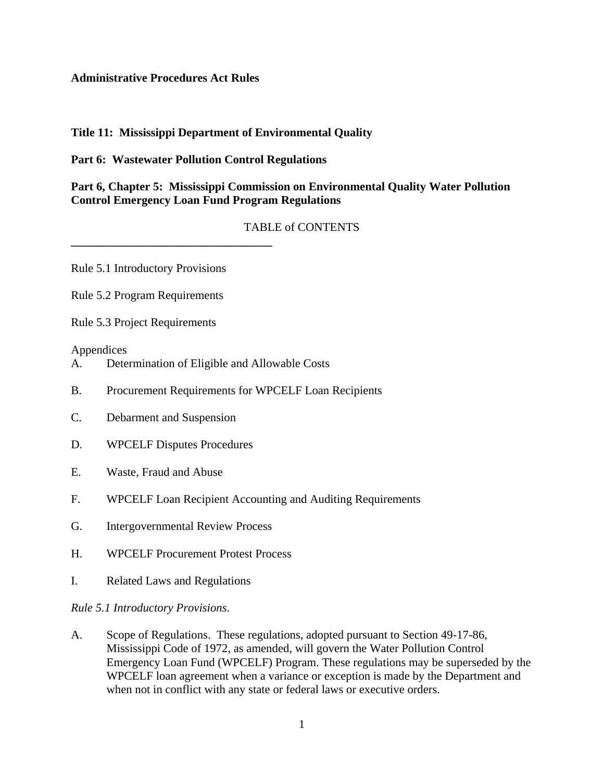#### **Administrative Procedures Act Rules**

## **Title 11: Mississippi Department of Environmental Quality**

## **Part 6: Wastewater Pollution Control Regulations**

## **Part 6, Chapter 5: Mississippi Commission on Environmental Quality Water Pollution Control Emergency Loan Fund Program Regulations**

# TABLE of CONTENTS

Rule 5.1 Introductory Provisions

**\_\_\_\_\_\_\_\_\_\_\_\_\_\_\_\_\_\_\_\_\_\_\_\_\_\_\_\_\_\_\_\_\_\_**

Rule 5.2 Program Requirements

Rule 5.3 Project Requirements

#### Appendices

- A. Determination of Eligible and Allowable Costs
- B. Procurement Requirements for WPCELF Loan Recipients
- C. Debarment and Suspension
- D. WPCELF Disputes Procedures
- E. Waste, Fraud and Abuse
- F. WPCELF Loan Recipient Accounting and Auditing Requirements
- G. Intergovernmental Review Process
- H. WPCELF Procurement Protest Process
- I. Related Laws and Regulations

#### *Rule 5.1 Introductory Provisions*.

A. Scope of Regulations. These regulations, adopted pursuant to Section 49-17-86, Mississippi Code of 1972, as amended, will govern the Water Pollution Control Emergency Loan Fund (WPCELF) Program. These regulations may be superseded by the WPCELF loan agreement when a variance or exception is made by the Department and when not in conflict with any state or federal laws or executive orders.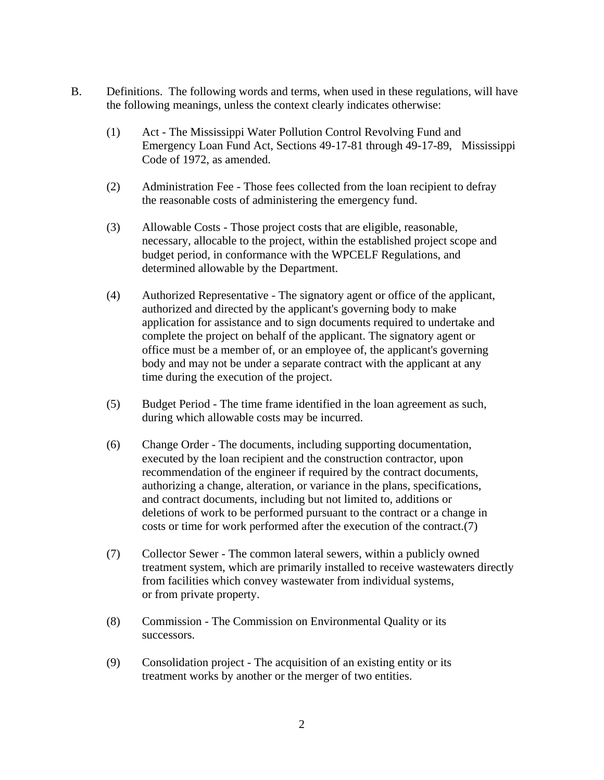- B. Definitions. The following words and terms, when used in these regulations, will have the following meanings, unless the context clearly indicates otherwise:
	- (1) Act The Mississippi Water Pollution Control Revolving Fund and Emergency Loan Fund Act, Sections 49-17-81 through 49-17-89, Mississippi Code of 1972, as amended.
	- (2) Administration Fee Those fees collected from the loan recipient to defray the reasonable costs of administering the emergency fund.
	- (3) Allowable Costs Those project costs that are eligible, reasonable, necessary, allocable to the project, within the established project scope and budget period, in conformance with the WPCELF Regulations, and determined allowable by the Department.
	- (4) Authorized Representative The signatory agent or office of the applicant, authorized and directed by the applicant's governing body to make application for assistance and to sign documents required to undertake and complete the project on behalf of the applicant. The signatory agent or office must be a member of, or an employee of, the applicant's governing body and may not be under a separate contract with the applicant at any time during the execution of the project.
	- (5) Budget Period The time frame identified in the loan agreement as such, during which allowable costs may be incurred.
	- (6) Change Order The documents, including supporting documentation, executed by the loan recipient and the construction contractor, upon recommendation of the engineer if required by the contract documents, authorizing a change, alteration, or variance in the plans, specifications, and contract documents, including but not limited to, additions or deletions of work to be performed pursuant to the contract or a change in costs or time for work performed after the execution of the contract.(7)
	- (7) Collector Sewer The common lateral sewers, within a publicly owned treatment system, which are primarily installed to receive wastewaters directly from facilities which convey wastewater from individual systems, or from private property.
	- (8) Commission The Commission on Environmental Quality or its successors.
	- (9) Consolidation project The acquisition of an existing entity or its treatment works by another or the merger of two entities.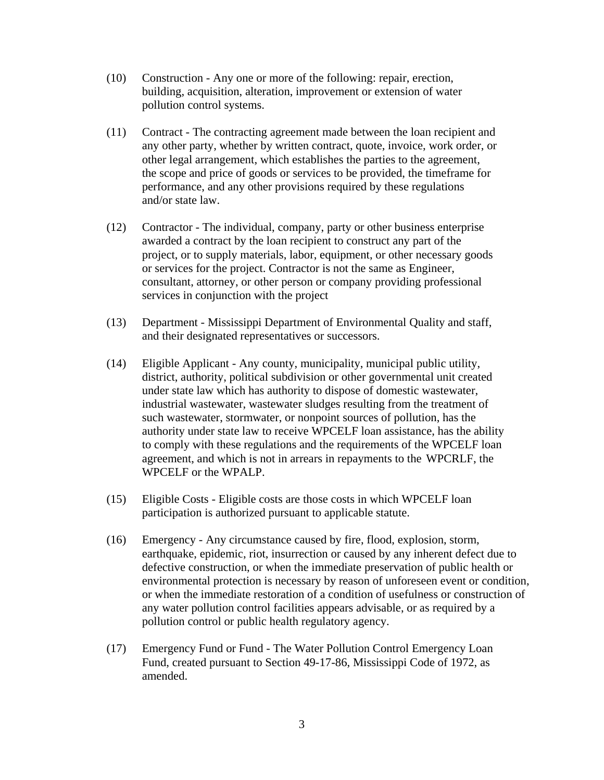- (10) Construction Any one or more of the following: repair, erection, building, acquisition, alteration, improvement or extension of water pollution control systems.
- (11) Contract The contracting agreement made between the loan recipient and any other party, whether by written contract, quote, invoice, work order, or other legal arrangement, which establishes the parties to the agreement, the scope and price of goods or services to be provided, the timeframe for performance, and any other provisions required by these regulations and/or state law.
- (12) Contractor The individual, company, party or other business enterprise awarded a contract by the loan recipient to construct any part of the project, or to supply materials, labor, equipment, or other necessary goods or services for the project. Contractor is not the same as Engineer, consultant, attorney, or other person or company providing professional services in conjunction with the project
- (13) Department Mississippi Department of Environmental Quality and staff, and their designated representatives or successors.
- (14) Eligible Applicant Any county, municipality, municipal public utility, district, authority, political subdivision or other governmental unit created under state law which has authority to dispose of domestic wastewater, industrial wastewater, wastewater sludges resulting from the treatment of such wastewater, stormwater, or nonpoint sources of pollution, has the authority under state law to receive WPCELF loan assistance, has the ability to comply with these regulations and the requirements of the WPCELF loan agreement, and which is not in arrears in repayments to the WPCRLF, the WPCELF or the WPALP.
- (15) Eligible Costs Eligible costs are those costs in which WPCELF loan participation is authorized pursuant to applicable statute.
- (16) Emergency Any circumstance caused by fire, flood, explosion, storm, earthquake, epidemic, riot, insurrection or caused by any inherent defect due to defective construction, or when the immediate preservation of public health or environmental protection is necessary by reason of unforeseen event or condition, or when the immediate restoration of a condition of usefulness or construction of any water pollution control facilities appears advisable, or as required by a pollution control or public health regulatory agency.
- (17) Emergency Fund or Fund The Water Pollution Control Emergency Loan Fund, created pursuant to Section 49-17-86, Mississippi Code of 1972, as amended.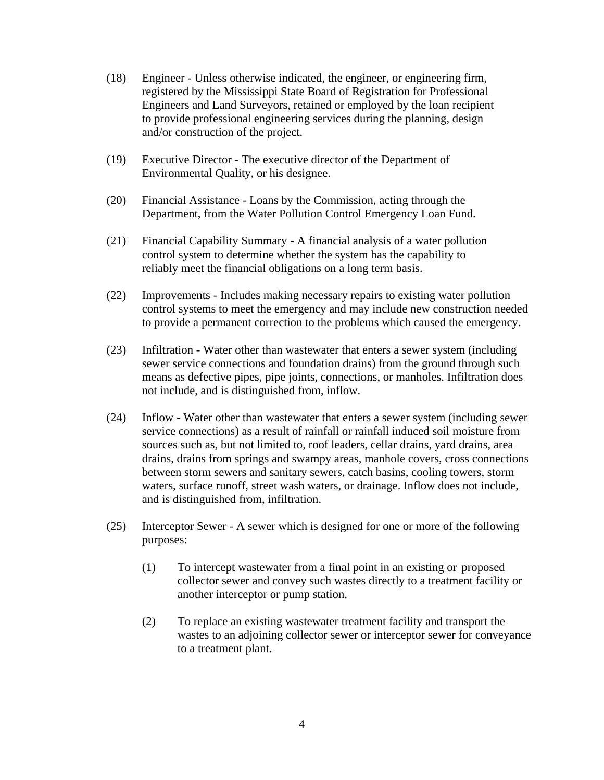- (18) Engineer Unless otherwise indicated, the engineer, or engineering firm, registered by the Mississippi State Board of Registration for Professional Engineers and Land Surveyors, retained or employed by the loan recipient to provide professional engineering services during the planning, design and/or construction of the project.
- (19) Executive Director The executive director of the Department of Environmental Quality, or his designee.
- (20) Financial Assistance Loans by the Commission, acting through the Department, from the Water Pollution Control Emergency Loan Fund.
- (21) Financial Capability Summary A financial analysis of a water pollution control system to determine whether the system has the capability to reliably meet the financial obligations on a long term basis.
- (22) Improvements Includes making necessary repairs to existing water pollution control systems to meet the emergency and may include new construction needed to provide a permanent correction to the problems which caused the emergency.
- (23) Infiltration Water other than wastewater that enters a sewer system (including sewer service connections and foundation drains) from the ground through such means as defective pipes, pipe joints, connections, or manholes. Infiltration does not include, and is distinguished from, inflow.
- (24) Inflow Water other than wastewater that enters a sewer system (including sewer service connections) as a result of rainfall or rainfall induced soil moisture from sources such as, but not limited to, roof leaders, cellar drains, yard drains, area drains, drains from springs and swampy areas, manhole covers, cross connections between storm sewers and sanitary sewers, catch basins, cooling towers, storm waters, surface runoff, street wash waters, or drainage. Inflow does not include, and is distinguished from, infiltration.
- (25) Interceptor Sewer A sewer which is designed for one or more of the following purposes:
	- (1) To intercept wastewater from a final point in an existing or proposed collector sewer and convey such wastes directly to a treatment facility or another interceptor or pump station.
	- (2) To replace an existing wastewater treatment facility and transport the wastes to an adjoining collector sewer or interceptor sewer for conveyance to a treatment plant.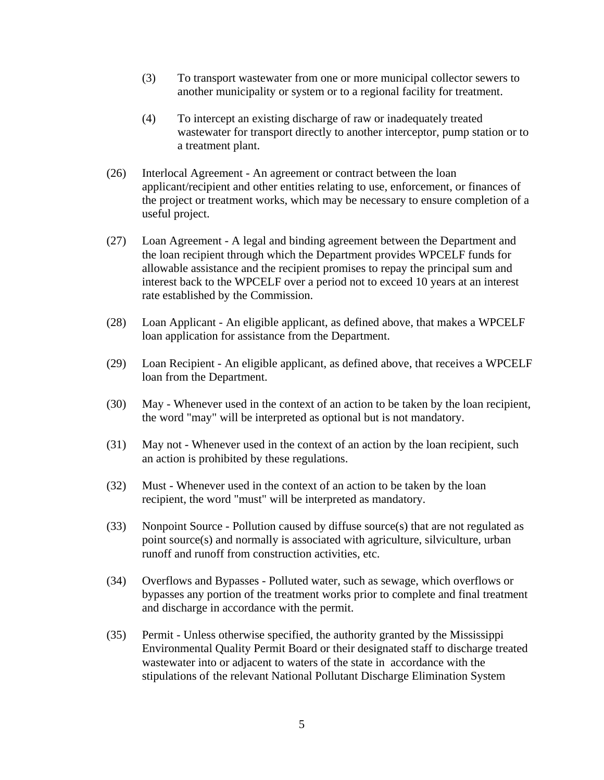- (3) To transport wastewater from one or more municipal collector sewers to another municipality or system or to a regional facility for treatment.
- (4) To intercept an existing discharge of raw or inadequately treated wastewater for transport directly to another interceptor, pump station or to a treatment plant.
- (26) Interlocal Agreement An agreement or contract between the loan applicant/recipient and other entities relating to use, enforcement, or finances of the project or treatment works, which may be necessary to ensure completion of a useful project.
- (27) Loan Agreement A legal and binding agreement between the Department and the loan recipient through which the Department provides WPCELF funds for allowable assistance and the recipient promises to repay the principal sum and interest back to the WPCELF over a period not to exceed 10 years at an interest rate established by the Commission.
- (28) Loan Applicant An eligible applicant, as defined above, that makes a WPCELF loan application for assistance from the Department.
- (29) Loan Recipient An eligible applicant, as defined above, that receives a WPCELF loan from the Department.
- (30) May Whenever used in the context of an action to be taken by the loan recipient, the word "may" will be interpreted as optional but is not mandatory.
- (31) May not Whenever used in the context of an action by the loan recipient, such an action is prohibited by these regulations.
- (32) Must Whenever used in the context of an action to be taken by the loan recipient, the word "must" will be interpreted as mandatory.
- (33) Nonpoint Source Pollution caused by diffuse source(s) that are not regulated as point source(s) and normally is associated with agriculture, silviculture, urban runoff and runoff from construction activities, etc.
- (34) Overflows and Bypasses Polluted water, such as sewage, which overflows or bypasses any portion of the treatment works prior to complete and final treatment and discharge in accordance with the permit.
- (35) Permit Unless otherwise specified, the authority granted by the Mississippi Environmental Quality Permit Board or their designated staff to discharge treated wastewater into or adjacent to waters of the state in accordance with the stipulations of the relevant National Pollutant Discharge Elimination System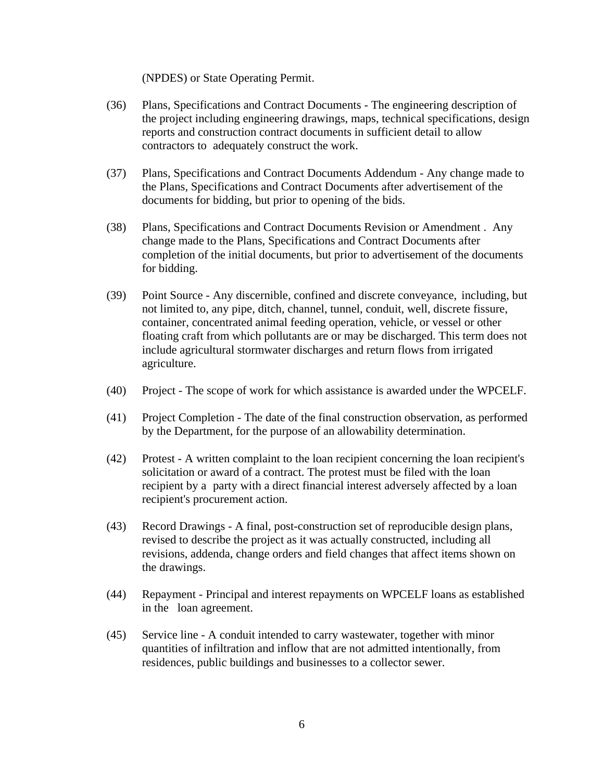(NPDES) or State Operating Permit.

- (36) Plans, Specifications and Contract Documents The engineering description of the project including engineering drawings, maps, technical specifications, design reports and construction contract documents in sufficient detail to allow contractors to adequately construct the work.
- (37) Plans, Specifications and Contract Documents Addendum Any change made to the Plans, Specifications and Contract Documents after advertisement of the documents for bidding, but prior to opening of the bids.
- (38) Plans, Specifications and Contract Documents Revision or Amendment . Any change made to the Plans, Specifications and Contract Documents after completion of the initial documents, but prior to advertisement of the documents for bidding.
- (39) Point Source Any discernible, confined and discrete conveyance, including, but not limited to, any pipe, ditch, channel, tunnel, conduit, well, discrete fissure, container, concentrated animal feeding operation, vehicle, or vessel or other floating craft from which pollutants are or may be discharged. This term does not include agricultural stormwater discharges and return flows from irrigated agriculture.
- (40) Project The scope of work for which assistance is awarded under the WPCELF.
- (41) Project Completion The date of the final construction observation, as performed by the Department, for the purpose of an allowability determination.
- (42) Protest A written complaint to the loan recipient concerning the loan recipient's solicitation or award of a contract. The protest must be filed with the loan recipient by a party with a direct financial interest adversely affected by a loan recipient's procurement action.
- (43) Record Drawings A final, post-construction set of reproducible design plans, revised to describe the project as it was actually constructed, including all revisions, addenda, change orders and field changes that affect items shown on the drawings.
- (44) Repayment Principal and interest repayments on WPCELF loans as established in the loan agreement.
- (45) Service line A conduit intended to carry wastewater, together with minor quantities of infiltration and inflow that are not admitted intentionally, from residences, public buildings and businesses to a collector sewer.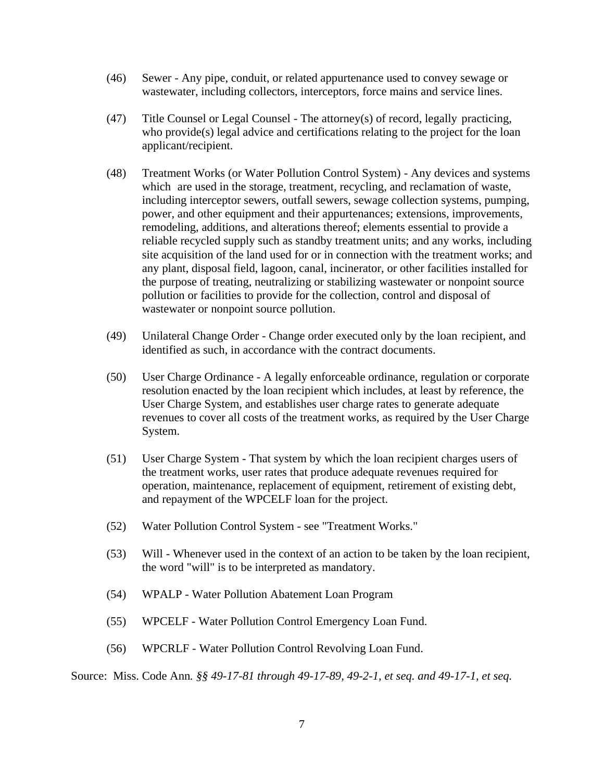- (46) Sewer Any pipe, conduit, or related appurtenance used to convey sewage or wastewater, including collectors, interceptors, force mains and service lines.
- (47) Title Counsel or Legal Counsel The attorney(s) of record, legally practicing, who provide(s) legal advice and certifications relating to the project for the loan applicant/recipient.
- (48) Treatment Works (or Water Pollution Control System) Any devices and systems which are used in the storage, treatment, recycling, and reclamation of waste, including interceptor sewers, outfall sewers, sewage collection systems, pumping, power, and other equipment and their appurtenances; extensions, improvements, remodeling, additions, and alterations thereof; elements essential to provide a reliable recycled supply such as standby treatment units; and any works, including site acquisition of the land used for or in connection with the treatment works; and any plant, disposal field, lagoon, canal, incinerator, or other facilities installed for the purpose of treating, neutralizing or stabilizing wastewater or nonpoint source pollution or facilities to provide for the collection, control and disposal of wastewater or nonpoint source pollution.
- (49) Unilateral Change Order Change order executed only by the loan recipient, and identified as such, in accordance with the contract documents.
- (50) User Charge Ordinance A legally enforceable ordinance, regulation or corporate resolution enacted by the loan recipient which includes, at least by reference, the User Charge System, and establishes user charge rates to generate adequate revenues to cover all costs of the treatment works, as required by the User Charge System.
- (51) User Charge System That system by which the loan recipient charges users of the treatment works, user rates that produce adequate revenues required for operation, maintenance, replacement of equipment, retirement of existing debt, and repayment of the WPCELF loan for the project.
- (52) Water Pollution Control System see "Treatment Works."
- (53) Will Whenever used in the context of an action to be taken by the loan recipient, the word "will" is to be interpreted as mandatory.
- (54) WPALP Water Pollution Abatement Loan Program
- (55) WPCELF Water Pollution Control Emergency Loan Fund.
- (56) WPCRLF Water Pollution Control Revolving Loan Fund.

Source: Miss. Code Ann*. §§ 49-17-81 through 49-17-89, 49-2-1, et seq. and 49-17-1, et seq.*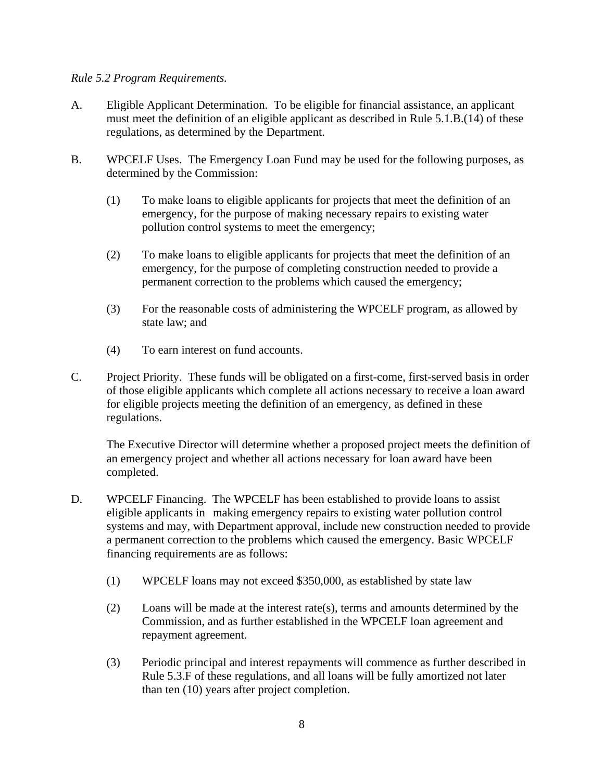### *Rule 5.2 Program Requirements.*

- A. Eligible Applicant Determination. To be eligible for financial assistance, an applicant must meet the definition of an eligible applicant as described in Rule 5.1.B.(14) of these regulations, as determined by the Department.
- B. WPCELF Uses. The Emergency Loan Fund may be used for the following purposes, as determined by the Commission:
	- (1) To make loans to eligible applicants for projects that meet the definition of an emergency, for the purpose of making necessary repairs to existing water pollution control systems to meet the emergency;
	- (2) To make loans to eligible applicants for projects that meet the definition of an emergency, for the purpose of completing construction needed to provide a permanent correction to the problems which caused the emergency;
	- (3) For the reasonable costs of administering the WPCELF program, as allowed by state law; and
	- (4) To earn interest on fund accounts.
- C. Project Priority. These funds will be obligated on a first-come, first-served basis in order of those eligible applicants which complete all actions necessary to receive a loan award for eligible projects meeting the definition of an emergency, as defined in these regulations.

The Executive Director will determine whether a proposed project meets the definition of an emergency project and whether all actions necessary for loan award have been completed.

- D. WPCELF Financing. The WPCELF has been established to provide loans to assist eligible applicants in making emergency repairs to existing water pollution control systems and may, with Department approval, include new construction needed to provide a permanent correction to the problems which caused the emergency. Basic WPCELF financing requirements are as follows:
	- (1) WPCELF loans may not exceed \$350,000, as established by state law
	- (2) Loans will be made at the interest rate(s), terms and amounts determined by the Commission, and as further established in the WPCELF loan agreement and repayment agreement.
	- (3) Periodic principal and interest repayments will commence as further described in Rule 5.3.F of these regulations, and all loans will be fully amortized not later than ten (10) years after project completion.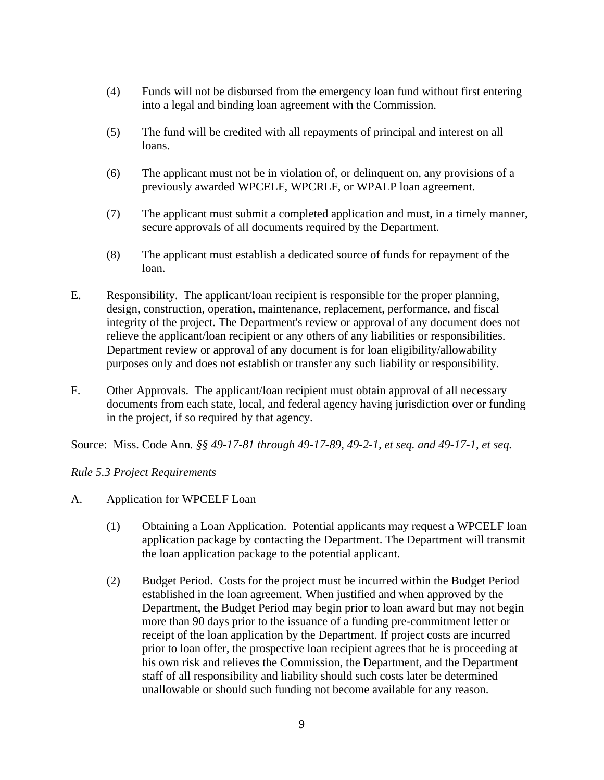- (4) Funds will not be disbursed from the emergency loan fund without first entering into a legal and binding loan agreement with the Commission.
- (5) The fund will be credited with all repayments of principal and interest on all loans.
- (6) The applicant must not be in violation of, or delinquent on, any provisions of a previously awarded WPCELF, WPCRLF, or WPALP loan agreement.
- (7) The applicant must submit a completed application and must, in a timely manner, secure approvals of all documents required by the Department.
- (8) The applicant must establish a dedicated source of funds for repayment of the loan.
- E. Responsibility. The applicant/loan recipient is responsible for the proper planning, design, construction, operation, maintenance, replacement, performance, and fiscal integrity of the project. The Department's review or approval of any document does not relieve the applicant/loan recipient or any others of any liabilities or responsibilities. Department review or approval of any document is for loan eligibility/allowability purposes only and does not establish or transfer any such liability or responsibility.
- F. Other Approvals. The applicant/loan recipient must obtain approval of all necessary documents from each state, local, and federal agency having jurisdiction over or funding in the project, if so required by that agency.

Source: Miss. Code Ann*. §§ 49-17-81 through 49-17-89, 49-2-1, et seq. and 49-17-1, et seq.*

# *Rule 5.3 Project Requirements*

- A. Application for WPCELF Loan
	- (1) Obtaining a Loan Application. Potential applicants may request a WPCELF loan application package by contacting the Department. The Department will transmit the loan application package to the potential applicant.
	- (2) Budget Period. Costs for the project must be incurred within the Budget Period established in the loan agreement. When justified and when approved by the Department, the Budget Period may begin prior to loan award but may not begin more than 90 days prior to the issuance of a funding pre-commitment letter or receipt of the loan application by the Department. If project costs are incurred prior to loan offer, the prospective loan recipient agrees that he is proceeding at his own risk and relieves the Commission, the Department, and the Department staff of all responsibility and liability should such costs later be determined unallowable or should such funding not become available for any reason.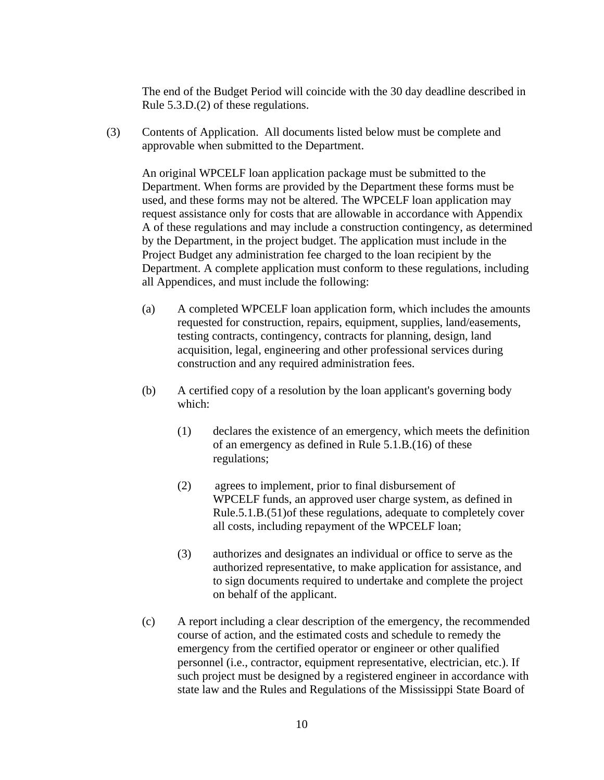The end of the Budget Period will coincide with the 30 day deadline described in Rule 5.3.D.(2) of these regulations.

(3) Contents of Application. All documents listed below must be complete and approvable when submitted to the Department.

An original WPCELF loan application package must be submitted to the Department. When forms are provided by the Department these forms must be used, and these forms may not be altered. The WPCELF loan application may request assistance only for costs that are allowable in accordance with Appendix A of these regulations and may include a construction contingency, as determined by the Department, in the project budget. The application must include in the Project Budget any administration fee charged to the loan recipient by the Department. A complete application must conform to these regulations, including all Appendices, and must include the following:

- (a) A completed WPCELF loan application form, which includes the amounts requested for construction, repairs, equipment, supplies, land/easements, testing contracts, contingency, contracts for planning, design, land acquisition, legal, engineering and other professional services during construction and any required administration fees.
- (b) A certified copy of a resolution by the loan applicant's governing body which:
	- (1) declares the existence of an emergency, which meets the definition of an emergency as defined in Rule 5.1.B.(16) of these regulations;
	- (2) agrees to implement, prior to final disbursement of WPCELF funds, an approved user charge system, as defined in Rule.5.1.B.(51)of these regulations, adequate to completely cover all costs, including repayment of the WPCELF loan;
	- (3) authorizes and designates an individual or office to serve as the authorized representative, to make application for assistance, and to sign documents required to undertake and complete the project on behalf of the applicant.
- (c) A report including a clear description of the emergency, the recommended course of action, and the estimated costs and schedule to remedy the emergency from the certified operator or engineer or other qualified personnel (i.e., contractor, equipment representative, electrician, etc.). If such project must be designed by a registered engineer in accordance with state law and the Rules and Regulations of the Mississippi State Board of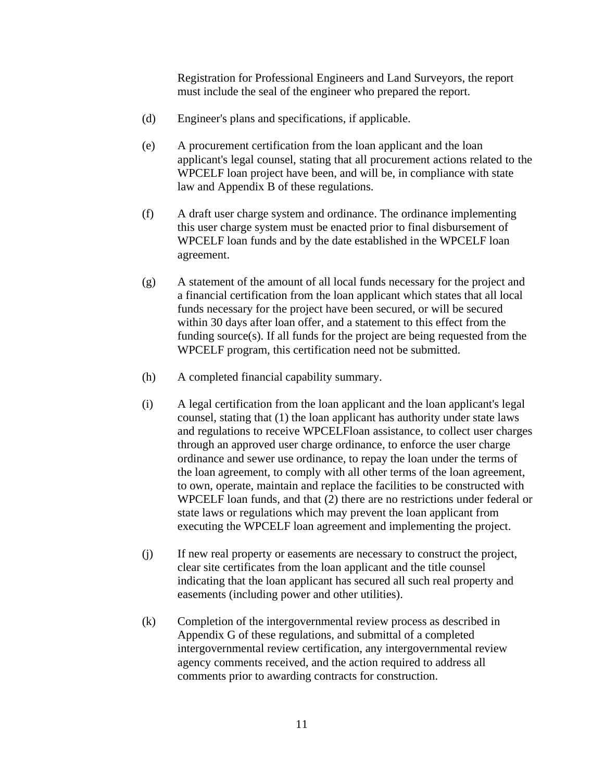Registration for Professional Engineers and Land Surveyors, the report must include the seal of the engineer who prepared the report.

- (d) Engineer's plans and specifications, if applicable.
- (e) A procurement certification from the loan applicant and the loan applicant's legal counsel, stating that all procurement actions related to the WPCELF loan project have been, and will be, in compliance with state law and Appendix B of these regulations.
- (f) A draft user charge system and ordinance. The ordinance implementing this user charge system must be enacted prior to final disbursement of WPCELF loan funds and by the date established in the WPCELF loan agreement.
- (g) A statement of the amount of all local funds necessary for the project and a financial certification from the loan applicant which states that all local funds necessary for the project have been secured, or will be secured within 30 days after loan offer, and a statement to this effect from the funding source(s). If all funds for the project are being requested from the WPCELF program, this certification need not be submitted.
- (h) A completed financial capability summary.
- (i) A legal certification from the loan applicant and the loan applicant's legal counsel, stating that (1) the loan applicant has authority under state laws and regulations to receive WPCELFloan assistance, to collect user charges through an approved user charge ordinance, to enforce the user charge ordinance and sewer use ordinance, to repay the loan under the terms of the loan agreement, to comply with all other terms of the loan agreement, to own, operate, maintain and replace the facilities to be constructed with WPCELF loan funds, and that (2) there are no restrictions under federal or state laws or regulations which may prevent the loan applicant from executing the WPCELF loan agreement and implementing the project.
- (j) If new real property or easements are necessary to construct the project, clear site certificates from the loan applicant and the title counsel indicating that the loan applicant has secured all such real property and easements (including power and other utilities).
- (k) Completion of the intergovernmental review process as described in Appendix G of these regulations, and submittal of a completed intergovernmental review certification, any intergovernmental review agency comments received, and the action required to address all comments prior to awarding contracts for construction.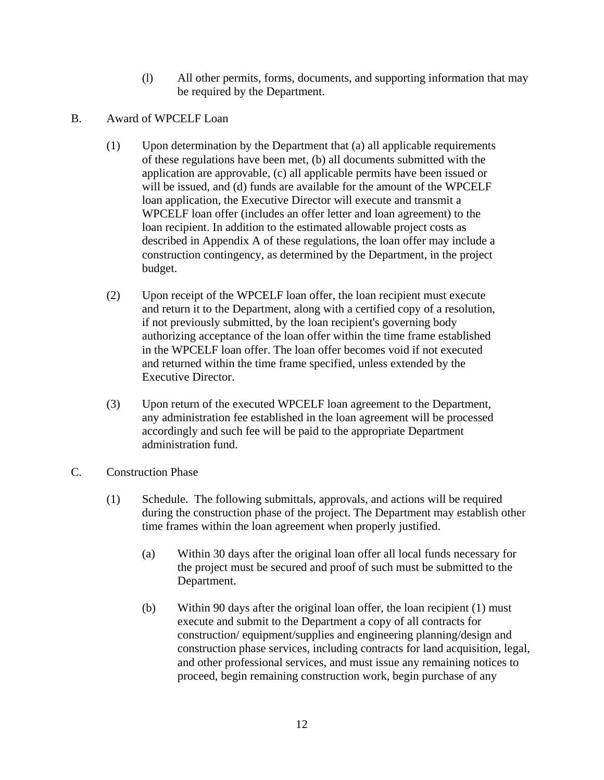- (l) All other permits, forms, documents, and supporting information that may be required by the Department.
- B. Award of WPCELF Loan
	- (1) Upon determination by the Department that (a) all applicable requirements of these regulations have been met, (b) all documents submitted with the application are approvable, (c) all applicable permits have been issued or will be issued, and (d) funds are available for the amount of the WPCELF loan application, the Executive Director will execute and transmit a WPCELF loan offer (includes an offer letter and loan agreement) to the loan recipient. In addition to the estimated allowable project costs as described in Appendix A of these regulations, the loan offer may include a construction contingency, as determined by the Department, in the project budget.
	- (2) Upon receipt of the WPCELF loan offer, the loan recipient must execute and return it to the Department, along with a certified copy of a resolution, if not previously submitted, by the loan recipient's governing body authorizing acceptance of the loan offer within the time frame established in the WPCELF loan offer. The loan offer becomes void if not executed and returned within the time frame specified, unless extended by the Executive Director.
	- (3) Upon return of the executed WPCELF loan agreement to the Department, any administration fee established in the loan agreement will be processed accordingly and such fee will be paid to the appropriate Department administration fund.
- C. Construction Phase
	- (1) Schedule. The following submittals, approvals, and actions will be required during the construction phase of the project. The Department may establish other time frames within the loan agreement when properly justified.
		- (a) Within 30 days after the original loan offer all local funds necessary for the project must be secured and proof of such must be submitted to the Department.
		- (b) Within 90 days after the original loan offer, the loan recipient (1) must execute and submit to the Department a copy of all contracts for construction/ equipment/supplies and engineering planning/design and construction phase services, including contracts for land acquisition, legal, and other professional services, and must issue any remaining notices to proceed, begin remaining construction work, begin purchase of any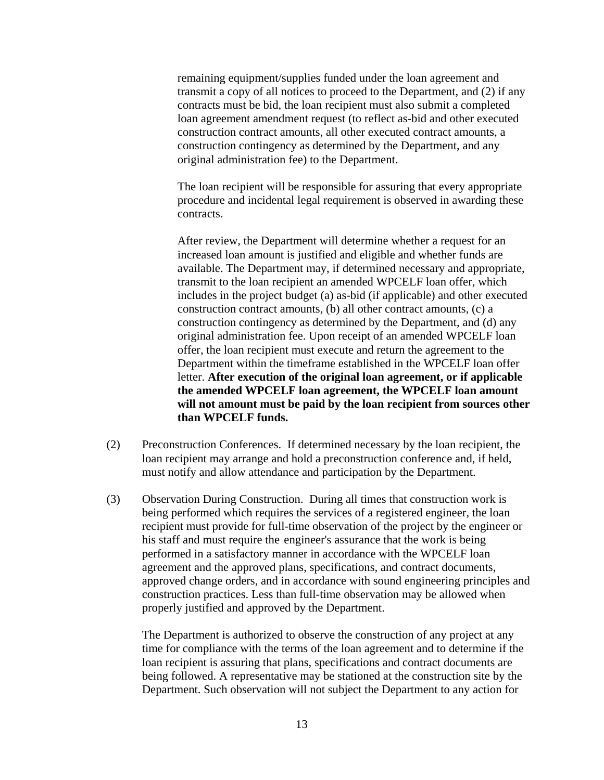remaining equipment/supplies funded under the loan agreement and transmit a copy of all notices to proceed to the Department, and (2) if any contracts must be bid, the loan recipient must also submit a completed loan agreement amendment request (to reflect as-bid and other executed construction contract amounts, all other executed contract amounts, a construction contingency as determined by the Department, and any original administration fee) to the Department.

The loan recipient will be responsible for assuring that every appropriate procedure and incidental legal requirement is observed in awarding these contracts.

After review, the Department will determine whether a request for an increased loan amount is justified and eligible and whether funds are available. The Department may, if determined necessary and appropriate, transmit to the loan recipient an amended WPCELF loan offer, which includes in the project budget (a) as-bid (if applicable) and other executed construction contract amounts, (b) all other contract amounts, (c) a construction contingency as determined by the Department, and (d) any original administration fee. Upon receipt of an amended WPCELF loan offer, the loan recipient must execute and return the agreement to the Department within the timeframe established in the WPCELF loan offer letter. **After execution of the original loan agreement, or if applicable the amended WPCELF loan agreement, the WPCELF loan amount will not amount must be paid by the loan recipient from sources other than WPCELF funds.**

- (2) Preconstruction Conferences. If determined necessary by the loan recipient, the loan recipient may arrange and hold a preconstruction conference and, if held, must notify and allow attendance and participation by the Department.
- (3) Observation During Construction. During all times that construction work is being performed which requires the services of a registered engineer, the loan recipient must provide for full-time observation of the project by the engineer or his staff and must require the engineer's assurance that the work is being performed in a satisfactory manner in accordance with the WPCELF loan agreement and the approved plans, specifications, and contract documents, approved change orders, and in accordance with sound engineering principles and construction practices. Less than full-time observation may be allowed when properly justified and approved by the Department.

The Department is authorized to observe the construction of any project at any time for compliance with the terms of the loan agreement and to determine if the loan recipient is assuring that plans, specifications and contract documents are being followed. A representative may be stationed at the construction site by the Department. Such observation will not subject the Department to any action for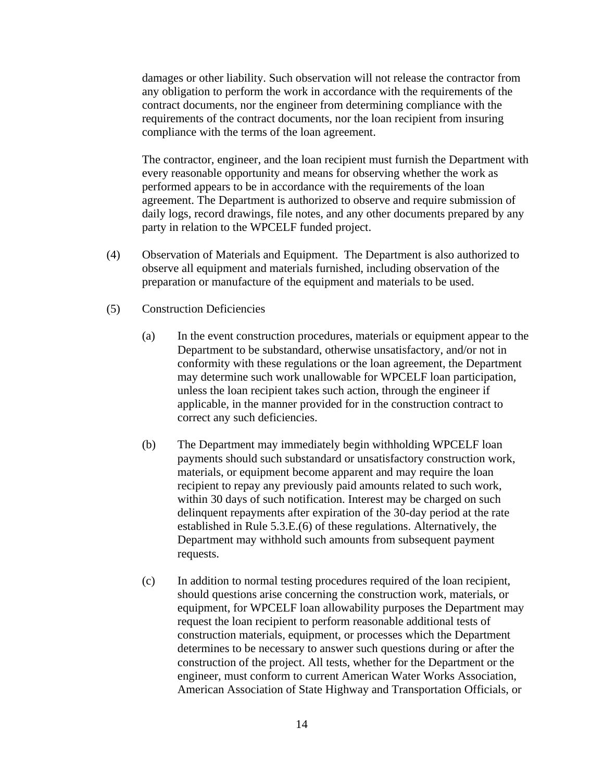damages or other liability. Such observation will not release the contractor from any obligation to perform the work in accordance with the requirements of the contract documents, nor the engineer from determining compliance with the requirements of the contract documents, nor the loan recipient from insuring compliance with the terms of the loan agreement.

The contractor, engineer, and the loan recipient must furnish the Department with every reasonable opportunity and means for observing whether the work as performed appears to be in accordance with the requirements of the loan agreement. The Department is authorized to observe and require submission of daily logs, record drawings, file notes, and any other documents prepared by any party in relation to the WPCELF funded project.

- (4) Observation of Materials and Equipment. The Department is also authorized to observe all equipment and materials furnished, including observation of the preparation or manufacture of the equipment and materials to be used.
- (5) Construction Deficiencies
	- (a) In the event construction procedures, materials or equipment appear to the Department to be substandard, otherwise unsatisfactory, and/or not in conformity with these regulations or the loan agreement, the Department may determine such work unallowable for WPCELF loan participation, unless the loan recipient takes such action, through the engineer if applicable, in the manner provided for in the construction contract to correct any such deficiencies.
	- (b) The Department may immediately begin withholding WPCELF loan payments should such substandard or unsatisfactory construction work, materials, or equipment become apparent and may require the loan recipient to repay any previously paid amounts related to such work, within 30 days of such notification. Interest may be charged on such delinquent repayments after expiration of the 30-day period at the rate established in Rule 5.3.E.(6) of these regulations. Alternatively, the Department may withhold such amounts from subsequent payment requests.
	- (c) In addition to normal testing procedures required of the loan recipient, should questions arise concerning the construction work, materials, or equipment, for WPCELF loan allowability purposes the Department may request the loan recipient to perform reasonable additional tests of construction materials, equipment, or processes which the Department determines to be necessary to answer such questions during or after the construction of the project. All tests, whether for the Department or the engineer, must conform to current American Water Works Association, American Association of State Highway and Transportation Officials, or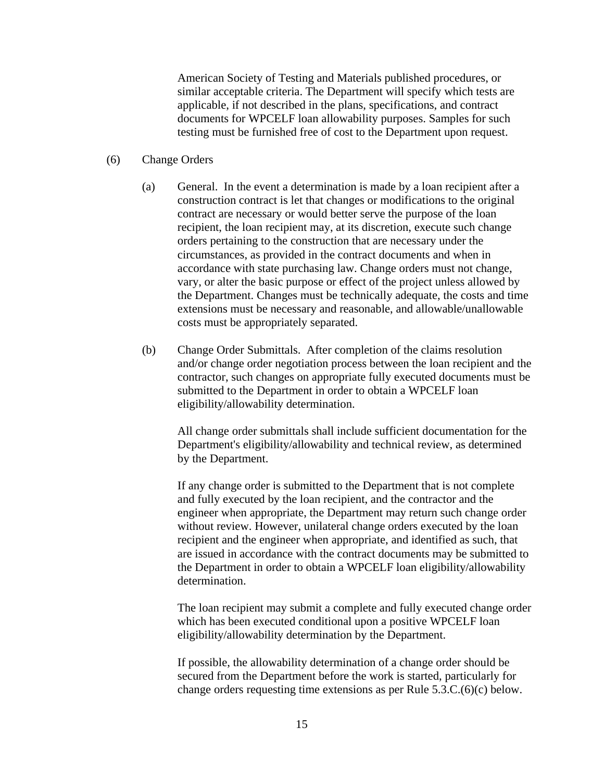American Society of Testing and Materials published procedures, or similar acceptable criteria. The Department will specify which tests are applicable, if not described in the plans, specifications, and contract documents for WPCELF loan allowability purposes. Samples for such testing must be furnished free of cost to the Department upon request.

#### (6) Change Orders

- (a) General. In the event a determination is made by a loan recipient after a construction contract is let that changes or modifications to the original contract are necessary or would better serve the purpose of the loan recipient, the loan recipient may, at its discretion, execute such change orders pertaining to the construction that are necessary under the circumstances, as provided in the contract documents and when in accordance with state purchasing law. Change orders must not change, vary, or alter the basic purpose or effect of the project unless allowed by the Department. Changes must be technically adequate, the costs and time extensions must be necessary and reasonable, and allowable/unallowable costs must be appropriately separated.
- (b) Change Order Submittals. After completion of the claims resolution and/or change order negotiation process between the loan recipient and the contractor, such changes on appropriate fully executed documents must be submitted to the Department in order to obtain a WPCELF loan eligibility/allowability determination.

All change order submittals shall include sufficient documentation for the Department's eligibility/allowability and technical review, as determined by the Department.

If any change order is submitted to the Department that is not complete and fully executed by the loan recipient, and the contractor and the engineer when appropriate, the Department may return such change order without review. However, unilateral change orders executed by the loan recipient and the engineer when appropriate, and identified as such, that are issued in accordance with the contract documents may be submitted to the Department in order to obtain a WPCELF loan eligibility/allowability determination.

The loan recipient may submit a complete and fully executed change order which has been executed conditional upon a positive WPCELF loan eligibility/allowability determination by the Department.

If possible, the allowability determination of a change order should be secured from the Department before the work is started, particularly for change orders requesting time extensions as per Rule 5.3.C.(6)(c) below.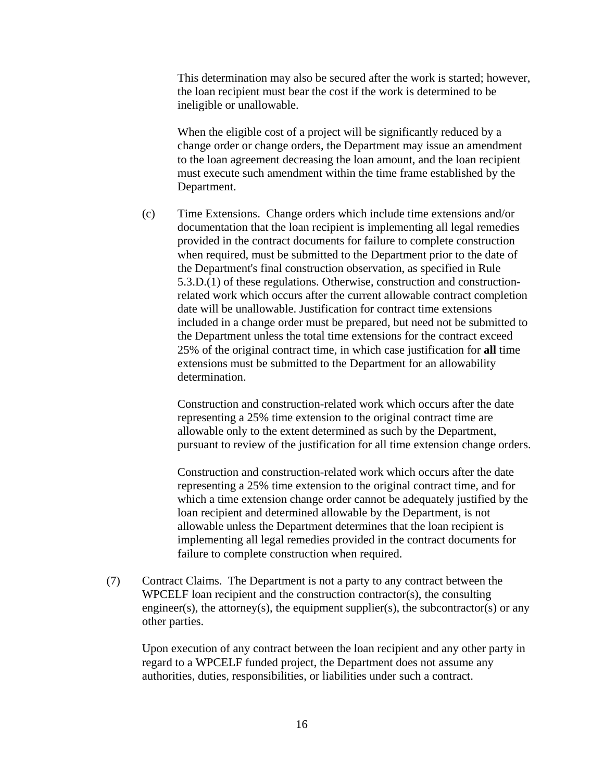This determination may also be secured after the work is started; however, the loan recipient must bear the cost if the work is determined to be ineligible or unallowable.

When the eligible cost of a project will be significantly reduced by a change order or change orders, the Department may issue an amendment to the loan agreement decreasing the loan amount, and the loan recipient must execute such amendment within the time frame established by the Department.

(c) Time Extensions. Change orders which include time extensions and/or documentation that the loan recipient is implementing all legal remedies provided in the contract documents for failure to complete construction when required, must be submitted to the Department prior to the date of the Department's final construction observation, as specified in Rule 5.3.D.(1) of these regulations. Otherwise, construction and constructionrelated work which occurs after the current allowable contract completion date will be unallowable. Justification for contract time extensions included in a change order must be prepared, but need not be submitted to the Department unless the total time extensions for the contract exceed 25% of the original contract time, in which case justification for **all** time extensions must be submitted to the Department for an allowability determination.

Construction and construction-related work which occurs after the date representing a 25% time extension to the original contract time are allowable only to the extent determined as such by the Department, pursuant to review of the justification for all time extension change orders.

Construction and construction-related work which occurs after the date representing a 25% time extension to the original contract time, and for which a time extension change order cannot be adequately justified by the loan recipient and determined allowable by the Department, is not allowable unless the Department determines that the loan recipient is implementing all legal remedies provided in the contract documents for failure to complete construction when required.

(7) Contract Claims. The Department is not a party to any contract between the WPCELF loan recipient and the construction contractor(s), the consulting engineer(s), the attorney(s), the equipment supplier(s), the subcontractor(s) or any other parties.

Upon execution of any contract between the loan recipient and any other party in regard to a WPCELF funded project, the Department does not assume any authorities, duties, responsibilities, or liabilities under such a contract.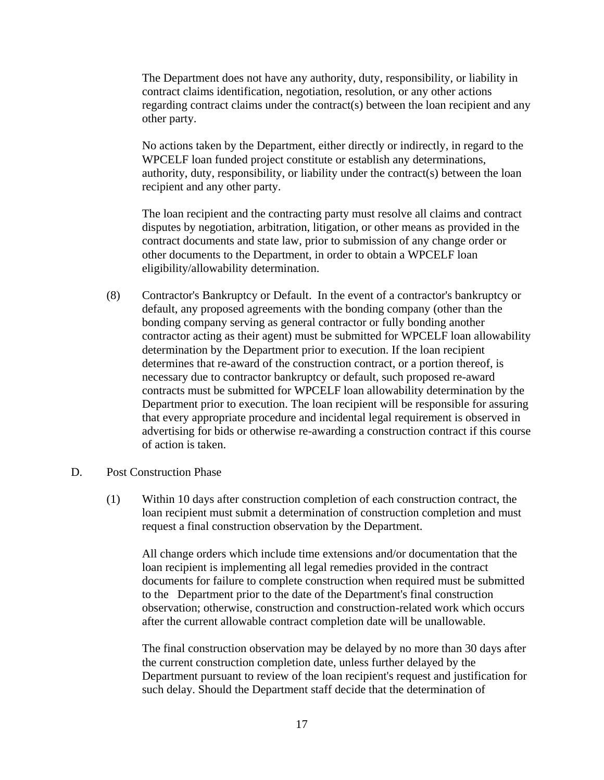The Department does not have any authority, duty, responsibility, or liability in contract claims identification, negotiation, resolution, or any other actions regarding contract claims under the contract(s) between the loan recipient and any other party.

No actions taken by the Department, either directly or indirectly, in regard to the WPCELF loan funded project constitute or establish any determinations, authority, duty, responsibility, or liability under the contract(s) between the loan recipient and any other party.

The loan recipient and the contracting party must resolve all claims and contract disputes by negotiation, arbitration, litigation, or other means as provided in the contract documents and state law, prior to submission of any change order or other documents to the Department, in order to obtain a WPCELF loan eligibility/allowability determination.

- (8) Contractor's Bankruptcy or Default. In the event of a contractor's bankruptcy or default, any proposed agreements with the bonding company (other than the bonding company serving as general contractor or fully bonding another contractor acting as their agent) must be submitted for WPCELF loan allowability determination by the Department prior to execution. If the loan recipient determines that re-award of the construction contract, or a portion thereof, is necessary due to contractor bankruptcy or default, such proposed re-award contracts must be submitted for WPCELF loan allowability determination by the Department prior to execution. The loan recipient will be responsible for assuring that every appropriate procedure and incidental legal requirement is observed in advertising for bids or otherwise re-awarding a construction contract if this course of action is taken.
- D. Post Construction Phase
	- (1) Within 10 days after construction completion of each construction contract, the loan recipient must submit a determination of construction completion and must request a final construction observation by the Department.

All change orders which include time extensions and/or documentation that the loan recipient is implementing all legal remedies provided in the contract documents for failure to complete construction when required must be submitted to the Department prior to the date of the Department's final construction observation; otherwise, construction and construction-related work which occurs after the current allowable contract completion date will be unallowable.

The final construction observation may be delayed by no more than 30 days after the current construction completion date, unless further delayed by the Department pursuant to review of the loan recipient's request and justification for such delay. Should the Department staff decide that the determination of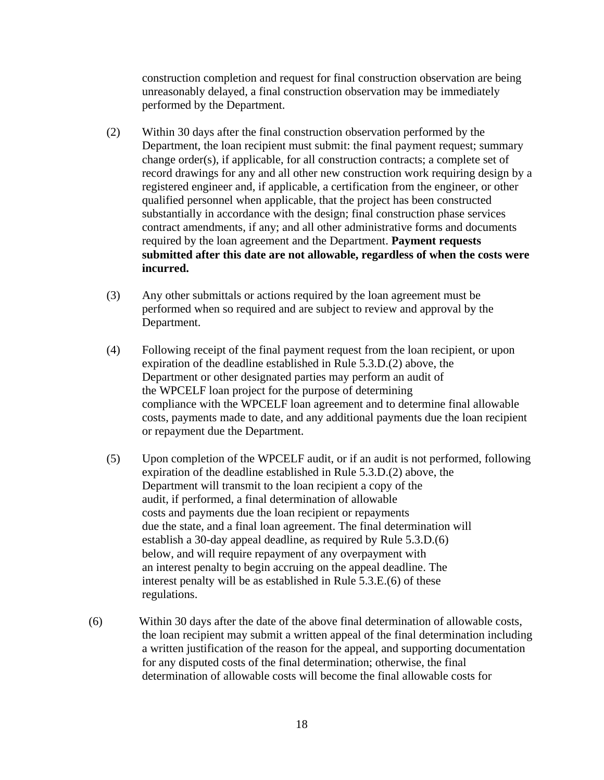construction completion and request for final construction observation are being unreasonably delayed, a final construction observation may be immediately performed by the Department.

- (2) Within 30 days after the final construction observation performed by the Department, the loan recipient must submit: the final payment request; summary change order(s), if applicable, for all construction contracts; a complete set of record drawings for any and all other new construction work requiring design by a registered engineer and, if applicable, a certification from the engineer, or other qualified personnel when applicable, that the project has been constructed substantially in accordance with the design; final construction phase services contract amendments, if any; and all other administrative forms and documents required by the loan agreement and the Department. **Payment requests submitted after this date are not allowable, regardless of when the costs were incurred.**
- (3) Any other submittals or actions required by the loan agreement must be performed when so required and are subject to review and approval by the Department.
- (4) Following receipt of the final payment request from the loan recipient, or upon expiration of the deadline established in Rule 5.3.D.(2) above, the Department or other designated parties may perform an audit of the WPCELF loan project for the purpose of determining compliance with the WPCELF loan agreement and to determine final allowable costs, payments made to date, and any additional payments due the loan recipient or repayment due the Department.
- (5) Upon completion of the WPCELF audit, or if an audit is not performed, following expiration of the deadline established in Rule 5.3.D.(2) above, the Department will transmit to the loan recipient a copy of the audit, if performed, a final determination of allowable costs and payments due the loan recipient or repayments due the state, and a final loan agreement. The final determination will establish a 30-day appeal deadline, as required by Rule 5.3.D.(6) below, and will require repayment of any overpayment with an interest penalty to begin accruing on the appeal deadline. The interest penalty will be as established in Rule 5.3.E.(6) of these regulations.
- (6) Within 30 days after the date of the above final determination of allowable costs, the loan recipient may submit a written appeal of the final determination including a written justification of the reason for the appeal, and supporting documentation for any disputed costs of the final determination; otherwise, the final determination of allowable costs will become the final allowable costs for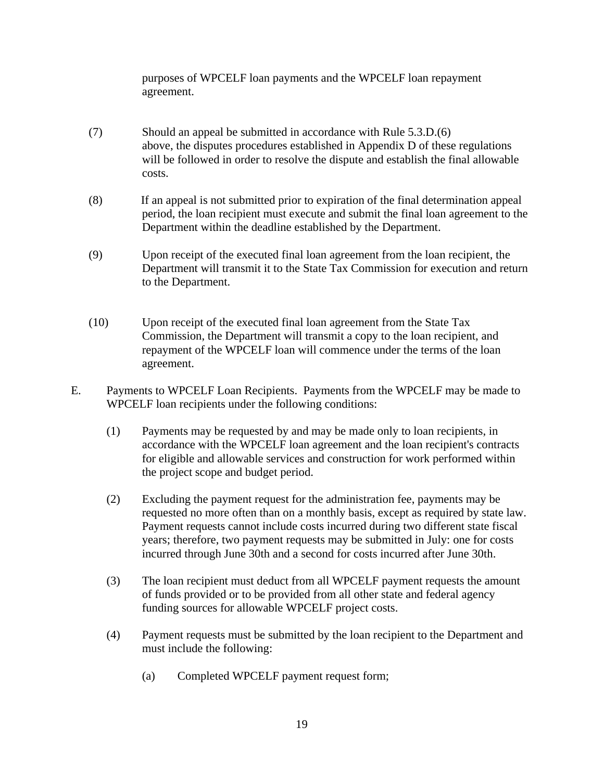purposes of WPCELF loan payments and the WPCELF loan repayment agreement.

- (7) Should an appeal be submitted in accordance with Rule 5.3.D.(6) above, the disputes procedures established in Appendix D of these regulations will be followed in order to resolve the dispute and establish the final allowable costs.
- (8) If an appeal is not submitted prior to expiration of the final determination appeal period, the loan recipient must execute and submit the final loan agreement to the Department within the deadline established by the Department.
- (9) Upon receipt of the executed final loan agreement from the loan recipient, the Department will transmit it to the State Tax Commission for execution and return to the Department.
- (10) Upon receipt of the executed final loan agreement from the State Tax Commission, the Department will transmit a copy to the loan recipient, and repayment of the WPCELF loan will commence under the terms of the loan agreement.
- E. Payments to WPCELF Loan Recipients. Payments from the WPCELF may be made to WPCELF loan recipients under the following conditions:
	- (1) Payments may be requested by and may be made only to loan recipients, in accordance with the WPCELF loan agreement and the loan recipient's contracts for eligible and allowable services and construction for work performed within the project scope and budget period.
	- (2) Excluding the payment request for the administration fee, payments may be requested no more often than on a monthly basis, except as required by state law. Payment requests cannot include costs incurred during two different state fiscal years; therefore, two payment requests may be submitted in July: one for costs incurred through June 30th and a second for costs incurred after June 30th.
	- (3) The loan recipient must deduct from all WPCELF payment requests the amount of funds provided or to be provided from all other state and federal agency funding sources for allowable WPCELF project costs.
	- (4) Payment requests must be submitted by the loan recipient to the Department and must include the following:
		- (a) Completed WPCELF payment request form;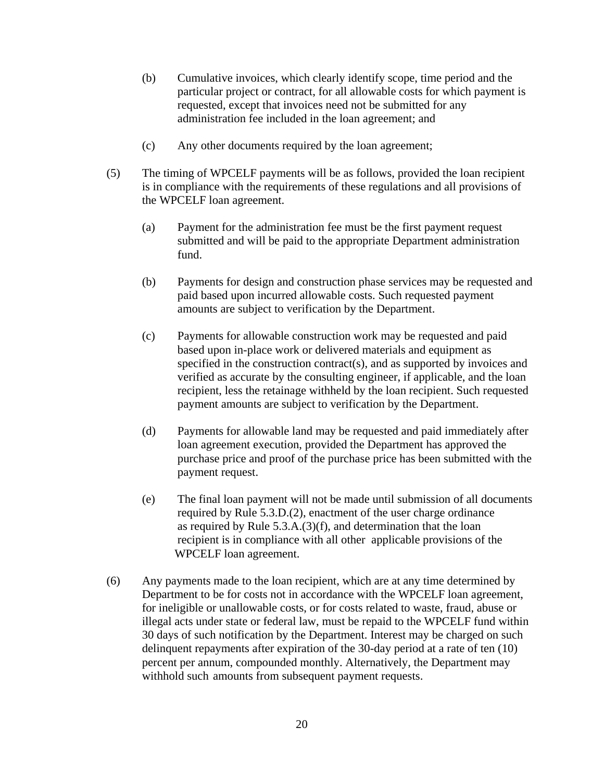- (b) Cumulative invoices, which clearly identify scope, time period and the particular project or contract, for all allowable costs for which payment is requested, except that invoices need not be submitted for any administration fee included in the loan agreement; and
- (c) Any other documents required by the loan agreement;
- (5) The timing of WPCELF payments will be as follows, provided the loan recipient is in compliance with the requirements of these regulations and all provisions of the WPCELF loan agreement.
	- (a) Payment for the administration fee must be the first payment request submitted and will be paid to the appropriate Department administration fund.
	- (b) Payments for design and construction phase services may be requested and paid based upon incurred allowable costs. Such requested payment amounts are subject to verification by the Department.
	- (c) Payments for allowable construction work may be requested and paid based upon in-place work or delivered materials and equipment as specified in the construction contract(s), and as supported by invoices and verified as accurate by the consulting engineer, if applicable, and the loan recipient, less the retainage withheld by the loan recipient. Such requested payment amounts are subject to verification by the Department.
	- (d) Payments for allowable land may be requested and paid immediately after loan agreement execution, provided the Department has approved the purchase price and proof of the purchase price has been submitted with the payment request.
	- (e) The final loan payment will not be made until submission of all documents required by Rule 5.3.D.(2), enactment of the user charge ordinance as required by Rule 5.3.A.(3)(f), and determination that the loan recipient is in compliance with all other applicable provisions of the WPCELF loan agreement.
- (6) Any payments made to the loan recipient, which are at any time determined by Department to be for costs not in accordance with the WPCELF loan agreement, for ineligible or unallowable costs, or for costs related to waste, fraud, abuse or illegal acts under state or federal law, must be repaid to the WPCELF fund within 30 days of such notification by the Department. Interest may be charged on such delinquent repayments after expiration of the 30-day period at a rate of ten (10) percent per annum, compounded monthly. Alternatively, the Department may withhold such amounts from subsequent payment requests.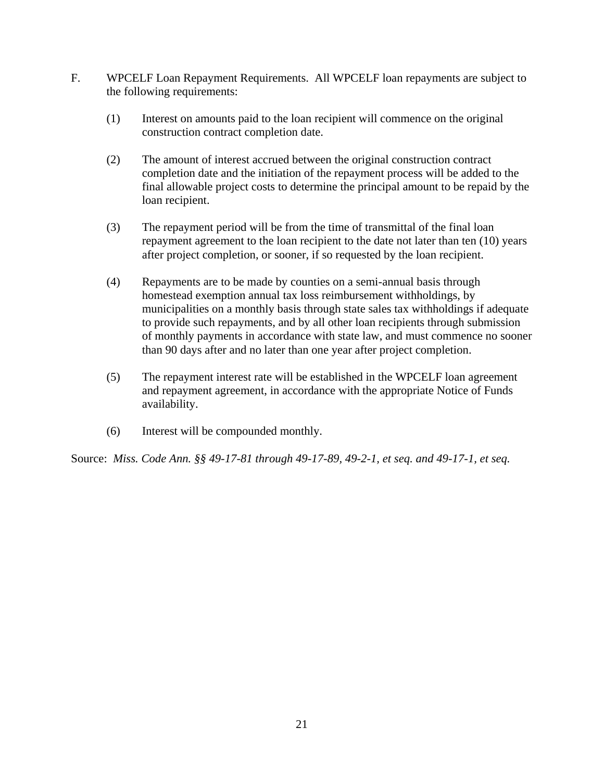- F. WPCELF Loan Repayment Requirements. All WPCELF loan repayments are subject to the following requirements:
	- (1) Interest on amounts paid to the loan recipient will commence on the original construction contract completion date.
	- (2) The amount of interest accrued between the original construction contract completion date and the initiation of the repayment process will be added to the final allowable project costs to determine the principal amount to be repaid by the loan recipient.
	- (3) The repayment period will be from the time of transmittal of the final loan repayment agreement to the loan recipient to the date not later than ten (10) years after project completion, or sooner, if so requested by the loan recipient.
	- (4) Repayments are to be made by counties on a semi-annual basis through homestead exemption annual tax loss reimbursement withholdings, by municipalities on a monthly basis through state sales tax withholdings if adequate to provide such repayments, and by all other loan recipients through submission of monthly payments in accordance with state law, and must commence no sooner than 90 days after and no later than one year after project completion.
	- (5) The repayment interest rate will be established in the WPCELF loan agreement and repayment agreement, in accordance with the appropriate Notice of Funds availability.
	- (6) Interest will be compounded monthly.

Source: *Miss. Code Ann. §§ 49-17-81 through 49-17-89, 49-2-1, et seq. and 49-17-1, et seq.*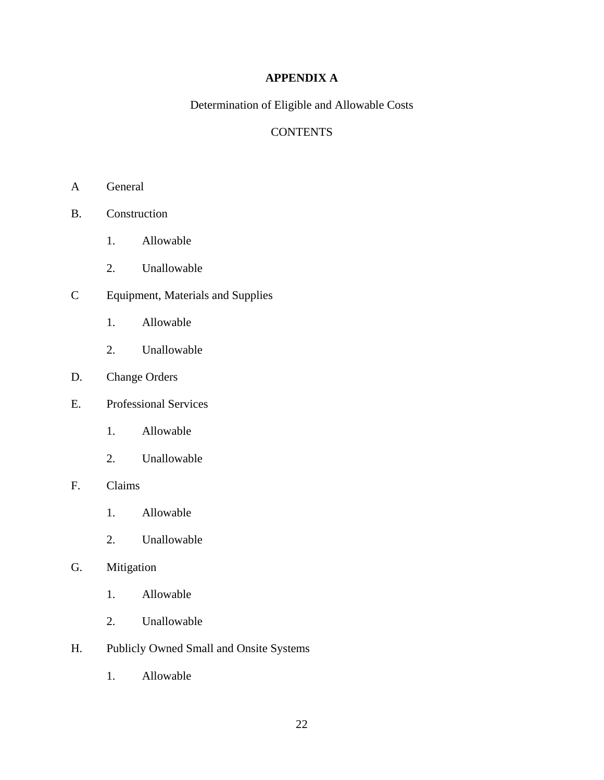# **APPENDIX A**

Determination of Eligible and Allowable Costs

# **CONTENTS**

- A General
- B. Construction
	- 1. Allowable
	- 2. Unallowable
- C Equipment, Materials and Supplies
	- 1. Allowable
	- 2. Unallowable
- D. Change Orders
- E. Professional Services
	- 1. Allowable
	- 2. Unallowable

## F. Claims

- 1. Allowable
- 2. Unallowable

# G. Mitigation

- 1. Allowable
- 2. Unallowable
- H. Publicly Owned Small and Onsite Systems
	- 1. Allowable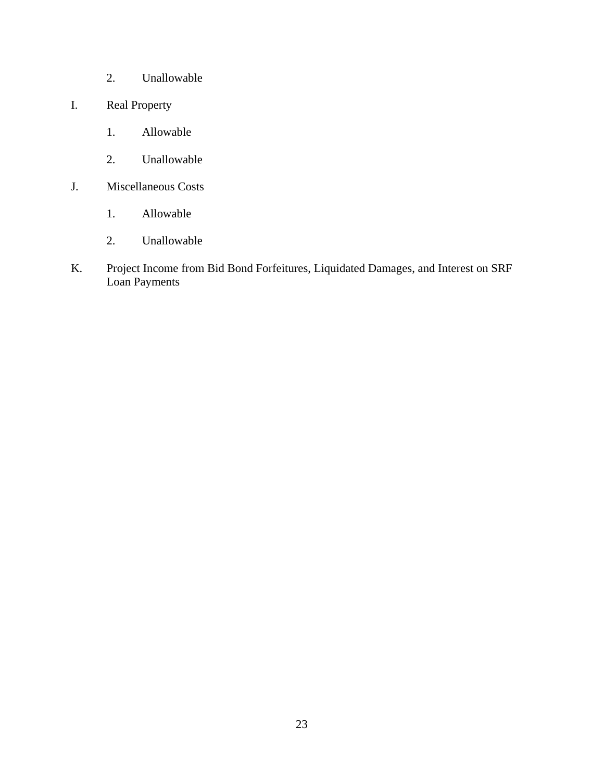- 2. Unallowable
- I. Real Property
	- 1. Allowable
	- 2. Unallowable
- J. Miscellaneous Costs
	- 1. Allowable
	- 2. Unallowable
- K. Project Income from Bid Bond Forfeitures, Liquidated Damages, and Interest on SRF Loan Payments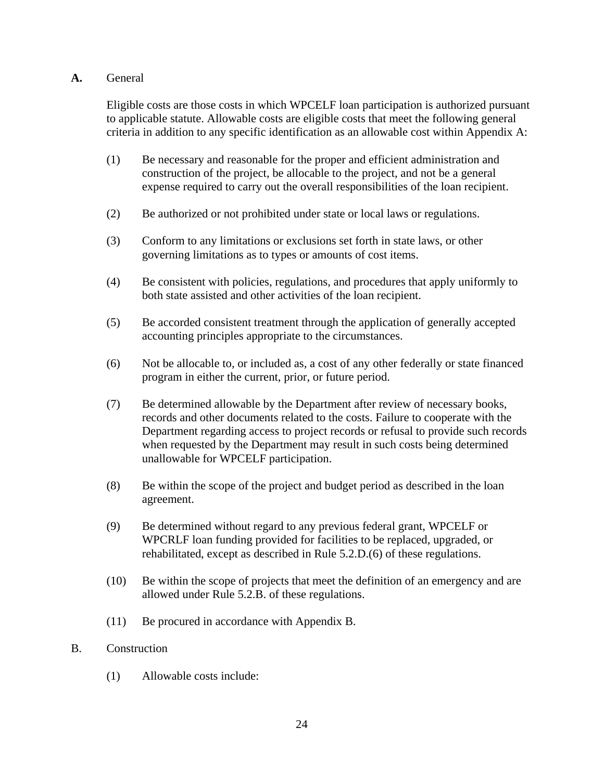## **A.** General

Eligible costs are those costs in which WPCELF loan participation is authorized pursuant to applicable statute. Allowable costs are eligible costs that meet the following general criteria in addition to any specific identification as an allowable cost within Appendix A:

- (1) Be necessary and reasonable for the proper and efficient administration and construction of the project, be allocable to the project, and not be a general expense required to carry out the overall responsibilities of the loan recipient.
- (2) Be authorized or not prohibited under state or local laws or regulations.
- (3) Conform to any limitations or exclusions set forth in state laws, or other governing limitations as to types or amounts of cost items.
- (4) Be consistent with policies, regulations, and procedures that apply uniformly to both state assisted and other activities of the loan recipient.
- (5) Be accorded consistent treatment through the application of generally accepted accounting principles appropriate to the circumstances.
- (6) Not be allocable to, or included as, a cost of any other federally or state financed program in either the current, prior, or future period.
- (7) Be determined allowable by the Department after review of necessary books, records and other documents related to the costs. Failure to cooperate with the Department regarding access to project records or refusal to provide such records when requested by the Department may result in such costs being determined unallowable for WPCELF participation.
- (8) Be within the scope of the project and budget period as described in the loan agreement.
- (9) Be determined without regard to any previous federal grant, WPCELF or WPCRLF loan funding provided for facilities to be replaced, upgraded, or rehabilitated, except as described in Rule 5.2.D.(6) of these regulations.
- (10) Be within the scope of projects that meet the definition of an emergency and are allowed under Rule 5.2.B. of these regulations.
- (11) Be procured in accordance with Appendix B.

### B. Construction

(1) Allowable costs include: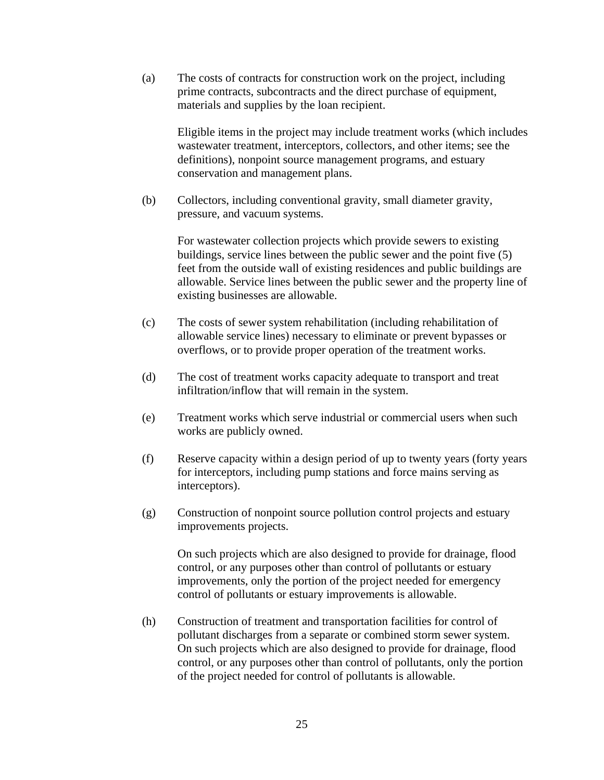(a) The costs of contracts for construction work on the project, including prime contracts, subcontracts and the direct purchase of equipment, materials and supplies by the loan recipient.

Eligible items in the project may include treatment works (which includes wastewater treatment, interceptors, collectors, and other items; see the definitions), nonpoint source management programs, and estuary conservation and management plans.

(b) Collectors, including conventional gravity, small diameter gravity, pressure, and vacuum systems.

> For wastewater collection projects which provide sewers to existing buildings, service lines between the public sewer and the point five (5) feet from the outside wall of existing residences and public buildings are allowable. Service lines between the public sewer and the property line of existing businesses are allowable.

- (c) The costs of sewer system rehabilitation (including rehabilitation of allowable service lines) necessary to eliminate or prevent bypasses or overflows, or to provide proper operation of the treatment works.
- (d) The cost of treatment works capacity adequate to transport and treat infiltration/inflow that will remain in the system.
- (e) Treatment works which serve industrial or commercial users when such works are publicly owned.
- (f) Reserve capacity within a design period of up to twenty years (forty years for interceptors, including pump stations and force mains serving as interceptors).
- (g) Construction of nonpoint source pollution control projects and estuary improvements projects.

On such projects which are also designed to provide for drainage, flood control, or any purposes other than control of pollutants or estuary improvements, only the portion of the project needed for emergency control of pollutants or estuary improvements is allowable.

(h) Construction of treatment and transportation facilities for control of pollutant discharges from a separate or combined storm sewer system. On such projects which are also designed to provide for drainage, flood control, or any purposes other than control of pollutants, only the portion of the project needed for control of pollutants is allowable.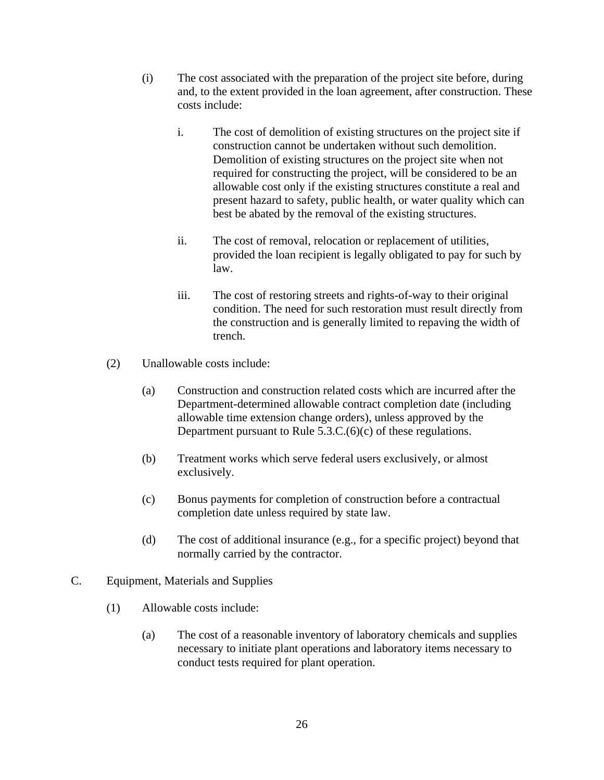- (i) The cost associated with the preparation of the project site before, during and, to the extent provided in the loan agreement, after construction. These costs include:
	- i. The cost of demolition of existing structures on the project site if construction cannot be undertaken without such demolition. Demolition of existing structures on the project site when not required for constructing the project, will be considered to be an allowable cost only if the existing structures constitute a real and present hazard to safety, public health, or water quality which can best be abated by the removal of the existing structures.
	- ii. The cost of removal, relocation or replacement of utilities, provided the loan recipient is legally obligated to pay for such by law.
	- iii. The cost of restoring streets and rights-of-way to their original condition. The need for such restoration must result directly from the construction and is generally limited to repaving the width of trench.
- (2) Unallowable costs include:
	- (a) Construction and construction related costs which are incurred after the Department-determined allowable contract completion date (including allowable time extension change orders), unless approved by the Department pursuant to Rule 5.3.C.(6)(c) of these regulations.
	- (b) Treatment works which serve federal users exclusively, or almost exclusively.
	- (c) Bonus payments for completion of construction before a contractual completion date unless required by state law.
	- (d) The cost of additional insurance (e.g., for a specific project) beyond that normally carried by the contractor.
- C. Equipment, Materials and Supplies
	- (1) Allowable costs include:
		- (a) The cost of a reasonable inventory of laboratory chemicals and supplies necessary to initiate plant operations and laboratory items necessary to conduct tests required for plant operation.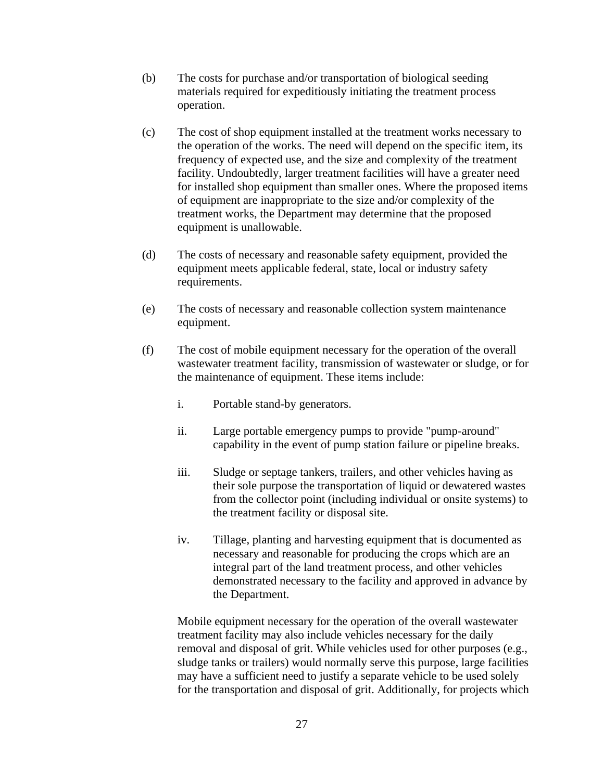- (b) The costs for purchase and/or transportation of biological seeding materials required for expeditiously initiating the treatment process operation.
- (c) The cost of shop equipment installed at the treatment works necessary to the operation of the works. The need will depend on the specific item, its frequency of expected use, and the size and complexity of the treatment facility. Undoubtedly, larger treatment facilities will have a greater need for installed shop equipment than smaller ones. Where the proposed items of equipment are inappropriate to the size and/or complexity of the treatment works, the Department may determine that the proposed equipment is unallowable.
- (d) The costs of necessary and reasonable safety equipment, provided the equipment meets applicable federal, state, local or industry safety requirements.
- (e) The costs of necessary and reasonable collection system maintenance equipment.
- (f) The cost of mobile equipment necessary for the operation of the overall wastewater treatment facility, transmission of wastewater or sludge, or for the maintenance of equipment. These items include:
	- i. Portable stand-by generators.
	- ii. Large portable emergency pumps to provide "pump-around" capability in the event of pump station failure or pipeline breaks.
	- iii. Sludge or septage tankers, trailers, and other vehicles having as their sole purpose the transportation of liquid or dewatered wastes from the collector point (including individual or onsite systems) to the treatment facility or disposal site.
	- iv. Tillage, planting and harvesting equipment that is documented as necessary and reasonable for producing the crops which are an integral part of the land treatment process, and other vehicles demonstrated necessary to the facility and approved in advance by the Department.

Mobile equipment necessary for the operation of the overall wastewater treatment facility may also include vehicles necessary for the daily removal and disposal of grit. While vehicles used for other purposes (e.g., sludge tanks or trailers) would normally serve this purpose, large facilities may have a sufficient need to justify a separate vehicle to be used solely for the transportation and disposal of grit. Additionally, for projects which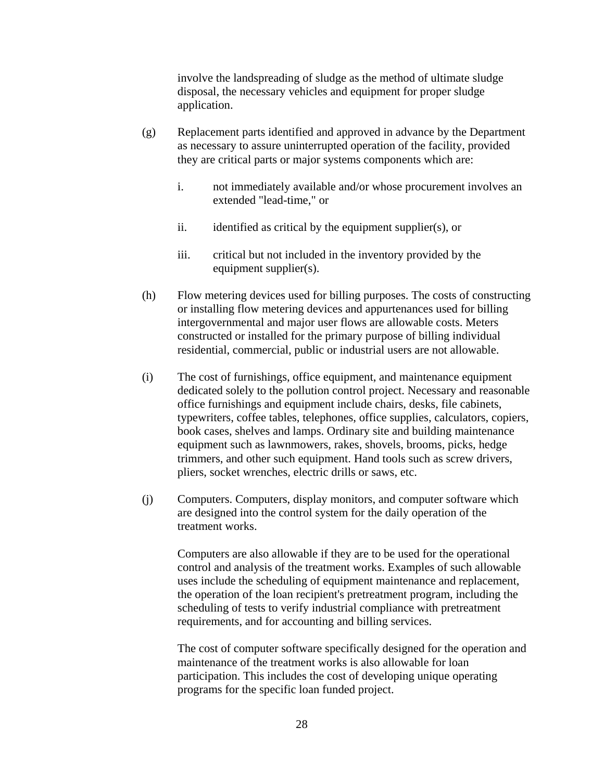involve the landspreading of sludge as the method of ultimate sludge disposal, the necessary vehicles and equipment for proper sludge application.

- (g) Replacement parts identified and approved in advance by the Department as necessary to assure uninterrupted operation of the facility, provided they are critical parts or major systems components which are:
	- i. not immediately available and/or whose procurement involves an extended "lead-time," or
	- ii. identified as critical by the equipment supplier(s), or
	- iii. critical but not included in the inventory provided by the equipment supplier(s).
- (h) Flow metering devices used for billing purposes. The costs of constructing or installing flow metering devices and appurtenances used for billing intergovernmental and major user flows are allowable costs. Meters constructed or installed for the primary purpose of billing individual residential, commercial, public or industrial users are not allowable.
- (i) The cost of furnishings, office equipment, and maintenance equipment dedicated solely to the pollution control project. Necessary and reasonable office furnishings and equipment include chairs, desks, file cabinets, typewriters, coffee tables, telephones, office supplies, calculators, copiers, book cases, shelves and lamps. Ordinary site and building maintenance equipment such as lawnmowers, rakes, shovels, brooms, picks, hedge trimmers, and other such equipment. Hand tools such as screw drivers, pliers, socket wrenches, electric drills or saws, etc.
- (j) Computers. Computers, display monitors, and computer software which are designed into the control system for the daily operation of the treatment works.

Computers are also allowable if they are to be used for the operational control and analysis of the treatment works. Examples of such allowable uses include the scheduling of equipment maintenance and replacement, the operation of the loan recipient's pretreatment program, including the scheduling of tests to verify industrial compliance with pretreatment requirements, and for accounting and billing services.

The cost of computer software specifically designed for the operation and maintenance of the treatment works is also allowable for loan participation. This includes the cost of developing unique operating programs for the specific loan funded project.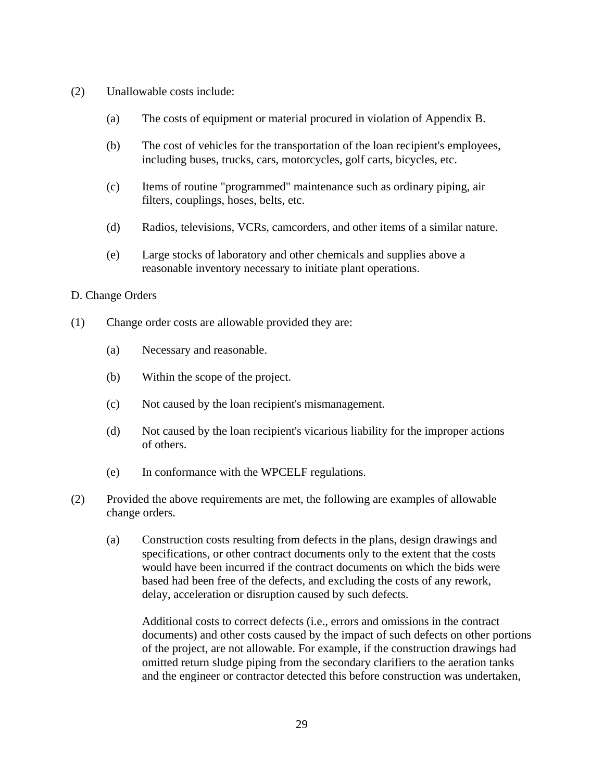- (2) Unallowable costs include:
	- (a) The costs of equipment or material procured in violation of Appendix B.
	- (b) The cost of vehicles for the transportation of the loan recipient's employees, including buses, trucks, cars, motorcycles, golf carts, bicycles, etc.
	- (c) Items of routine "programmed" maintenance such as ordinary piping, air filters, couplings, hoses, belts, etc.
	- (d) Radios, televisions, VCRs, camcorders, and other items of a similar nature.
	- (e) Large stocks of laboratory and other chemicals and supplies above a reasonable inventory necessary to initiate plant operations.

#### D. Change Orders

- (1) Change order costs are allowable provided they are:
	- (a) Necessary and reasonable.
	- (b) Within the scope of the project.
	- (c) Not caused by the loan recipient's mismanagement.
	- (d) Not caused by the loan recipient's vicarious liability for the improper actions of others.
	- (e) In conformance with the WPCELF regulations.
- (2) Provided the above requirements are met, the following are examples of allowable change orders.
	- (a) Construction costs resulting from defects in the plans, design drawings and specifications, or other contract documents only to the extent that the costs would have been incurred if the contract documents on which the bids were based had been free of the defects, and excluding the costs of any rework, delay, acceleration or disruption caused by such defects.

Additional costs to correct defects (i.e., errors and omissions in the contract documents) and other costs caused by the impact of such defects on other portions of the project, are not allowable. For example, if the construction drawings had omitted return sludge piping from the secondary clarifiers to the aeration tanks and the engineer or contractor detected this before construction was undertaken,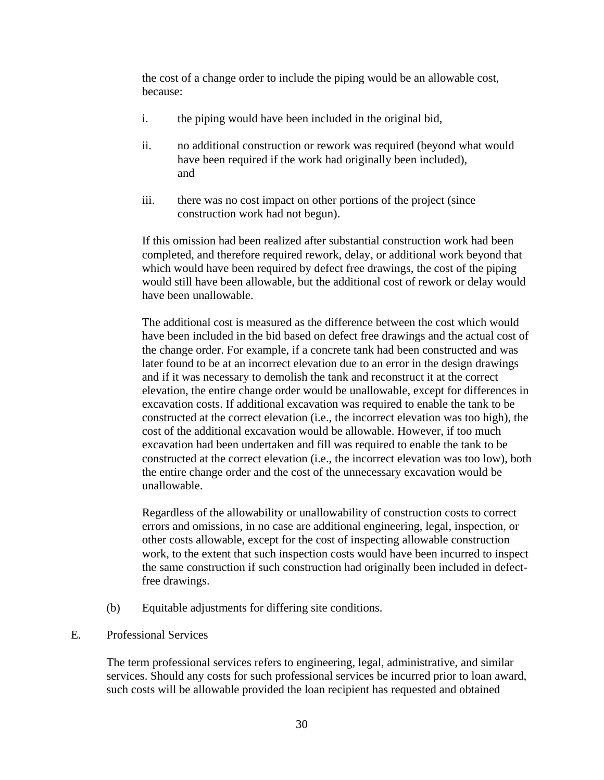the cost of a change order to include the piping would be an allowable cost, because:

- i. the piping would have been included in the original bid,
- ii. no additional construction or rework was required (beyond what would have been required if the work had originally been included), and
- iii. there was no cost impact on other portions of the project (since construction work had not begun).

If this omission had been realized after substantial construction work had been completed, and therefore required rework, delay, or additional work beyond that which would have been required by defect free drawings, the cost of the piping would still have been allowable, but the additional cost of rework or delay would have been unallowable.

The additional cost is measured as the difference between the cost which would have been included in the bid based on defect free drawings and the actual cost of the change order. For example, if a concrete tank had been constructed and was later found to be at an incorrect elevation due to an error in the design drawings and if it was necessary to demolish the tank and reconstruct it at the correct elevation, the entire change order would be unallowable, except for differences in excavation costs. If additional excavation was required to enable the tank to be constructed at the correct elevation (i.e., the incorrect elevation was too high), the cost of the additional excavation would be allowable. However, if too much excavation had been undertaken and fill was required to enable the tank to be constructed at the correct elevation (i.e., the incorrect elevation was too low), both the entire change order and the cost of the unnecessary excavation would be unallowable.

Regardless of the allowability or unallowability of construction costs to correct errors and omissions, in no case are additional engineering, legal, inspection, or other costs allowable, except for the cost of inspecting allowable construction work, to the extent that such inspection costs would have been incurred to inspect the same construction if such construction had originally been included in defectfree drawings.

- (b) Equitable adjustments for differing site conditions.
- E. Professional Services

The term professional services refers to engineering, legal, administrative, and similar services. Should any costs for such professional services be incurred prior to loan award, such costs will be allowable provided the loan recipient has requested and obtained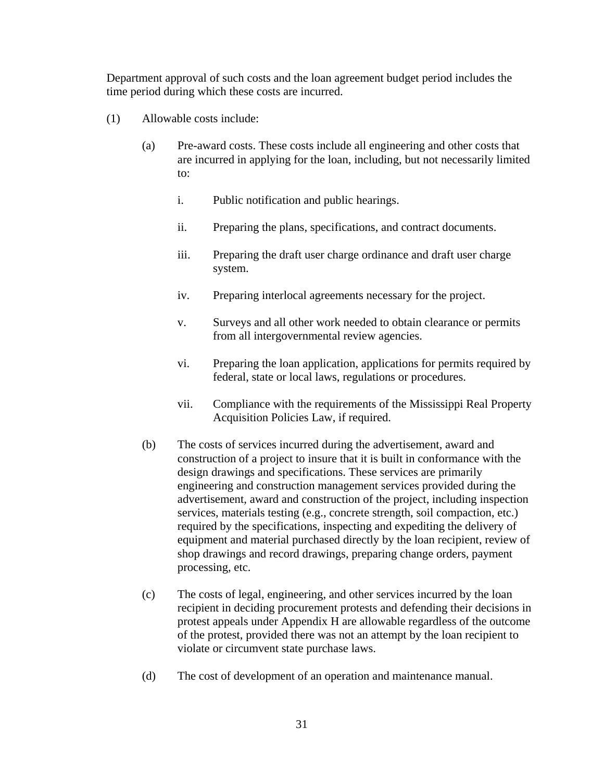Department approval of such costs and the loan agreement budget period includes the time period during which these costs are incurred.

- (1) Allowable costs include:
	- (a) Pre-award costs. These costs include all engineering and other costs that are incurred in applying for the loan, including, but not necessarily limited to:
		- i. Public notification and public hearings.
		- ii. Preparing the plans, specifications, and contract documents.
		- iii. Preparing the draft user charge ordinance and draft user charge system.
		- iv. Preparing interlocal agreements necessary for the project.
		- v. Surveys and all other work needed to obtain clearance or permits from all intergovernmental review agencies.
		- vi. Preparing the loan application, applications for permits required by federal, state or local laws, regulations or procedures.
		- vii. Compliance with the requirements of the Mississippi Real Property Acquisition Policies Law, if required.
	- (b) The costs of services incurred during the advertisement, award and construction of a project to insure that it is built in conformance with the design drawings and specifications. These services are primarily engineering and construction management services provided during the advertisement, award and construction of the project, including inspection services, materials testing (e.g., concrete strength, soil compaction, etc.) required by the specifications, inspecting and expediting the delivery of equipment and material purchased directly by the loan recipient, review of shop drawings and record drawings, preparing change orders, payment processing, etc.
	- (c) The costs of legal, engineering, and other services incurred by the loan recipient in deciding procurement protests and defending their decisions in protest appeals under Appendix H are allowable regardless of the outcome of the protest, provided there was not an attempt by the loan recipient to violate or circumvent state purchase laws.
	- (d) The cost of development of an operation and maintenance manual.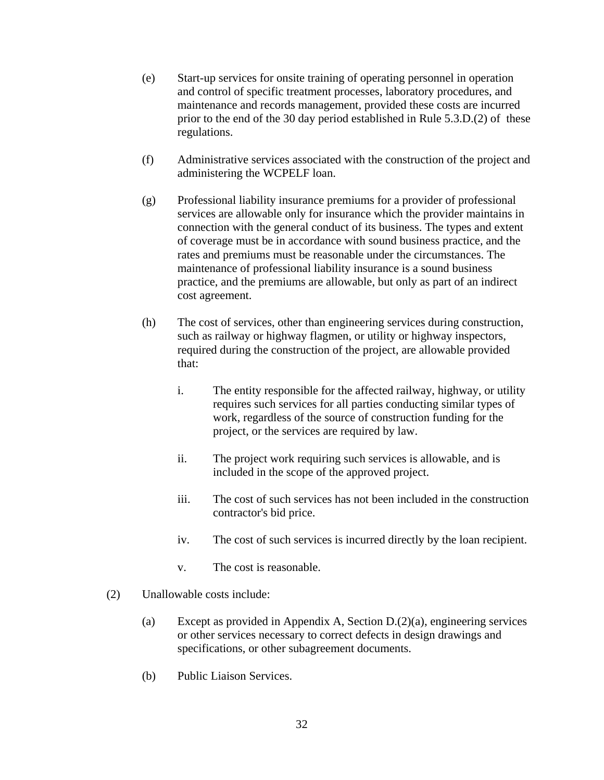- (e) Start-up services for onsite training of operating personnel in operation and control of specific treatment processes, laboratory procedures, and maintenance and records management, provided these costs are incurred prior to the end of the 30 day period established in Rule 5.3.D.(2) of these regulations.
- (f) Administrative services associated with the construction of the project and administering the WCPELF loan.
- (g) Professional liability insurance premiums for a provider of professional services are allowable only for insurance which the provider maintains in connection with the general conduct of its business. The types and extent of coverage must be in accordance with sound business practice, and the rates and premiums must be reasonable under the circumstances. The maintenance of professional liability insurance is a sound business practice, and the premiums are allowable, but only as part of an indirect cost agreement.
- (h) The cost of services, other than engineering services during construction, such as railway or highway flagmen, or utility or highway inspectors, required during the construction of the project, are allowable provided that:
	- i. The entity responsible for the affected railway, highway, or utility requires such services for all parties conducting similar types of work, regardless of the source of construction funding for the project, or the services are required by law.
	- ii. The project work requiring such services is allowable, and is included in the scope of the approved project.
	- iii. The cost of such services has not been included in the construction contractor's bid price.
	- iv. The cost of such services is incurred directly by the loan recipient.
	- v. The cost is reasonable.
- (2) Unallowable costs include:
	- (a) Except as provided in Appendix A, Section D.(2)(a), engineering services or other services necessary to correct defects in design drawings and specifications, or other subagreement documents.
	- (b) Public Liaison Services.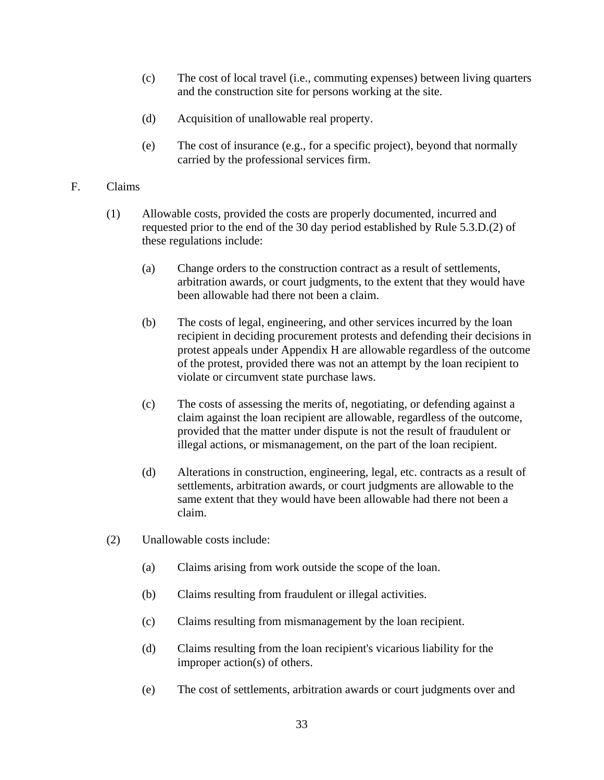- (c) The cost of local travel (i.e., commuting expenses) between living quarters and the construction site for persons working at the site.
- (d) Acquisition of unallowable real property.
- (e) The cost of insurance (e.g., for a specific project), beyond that normally carried by the professional services firm.

### F. Claims

- (1) Allowable costs, provided the costs are properly documented, incurred and requested prior to the end of the 30 day period established by Rule 5.3.D.(2) of these regulations include:
	- (a) Change orders to the construction contract as a result of settlements, arbitration awards, or court judgments, to the extent that they would have been allowable had there not been a claim.
	- (b) The costs of legal, engineering, and other services incurred by the loan recipient in deciding procurement protests and defending their decisions in protest appeals under Appendix H are allowable regardless of the outcome of the protest, provided there was not an attempt by the loan recipient to violate or circumvent state purchase laws.
	- (c) The costs of assessing the merits of, negotiating, or defending against a claim against the loan recipient are allowable, regardless of the outcome, provided that the matter under dispute is not the result of fraudulent or illegal actions, or mismanagement, on the part of the loan recipient.
	- (d) Alterations in construction, engineering, legal, etc. contracts as a result of settlements, arbitration awards, or court judgments are allowable to the same extent that they would have been allowable had there not been a claim.
- (2) Unallowable costs include:
	- (a) Claims arising from work outside the scope of the loan.
	- (b) Claims resulting from fraudulent or illegal activities.
	- (c) Claims resulting from mismanagement by the loan recipient.
	- (d) Claims resulting from the loan recipient's vicarious liability for the improper action(s) of others.
	- (e) The cost of settlements, arbitration awards or court judgments over and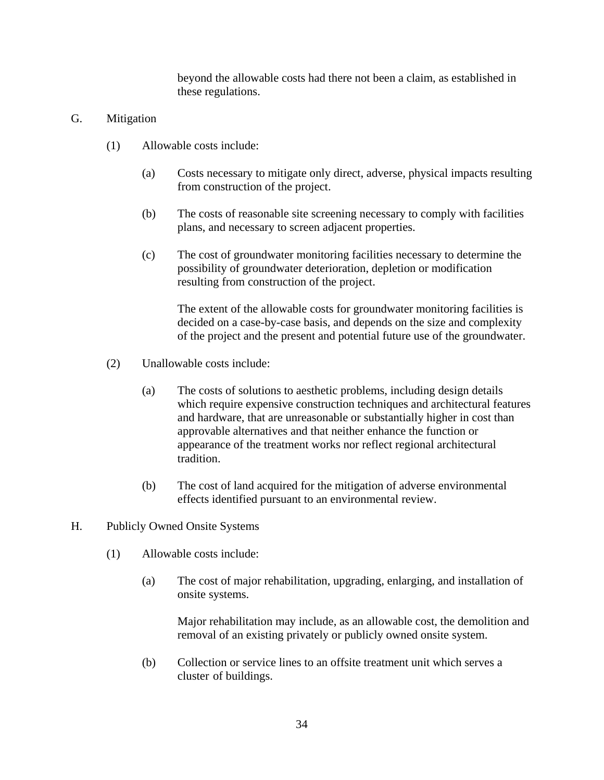beyond the allowable costs had there not been a claim, as established in these regulations.

## G. Mitigation

- (1) Allowable costs include:
	- (a) Costs necessary to mitigate only direct, adverse, physical impacts resulting from construction of the project.
	- (b) The costs of reasonable site screening necessary to comply with facilities plans, and necessary to screen adjacent properties.
	- (c) The cost of groundwater monitoring facilities necessary to determine the possibility of groundwater deterioration, depletion or modification resulting from construction of the project.

The extent of the allowable costs for groundwater monitoring facilities is decided on a case-by-case basis, and depends on the size and complexity of the project and the present and potential future use of the groundwater.

- (2) Unallowable costs include:
	- (a) The costs of solutions to aesthetic problems, including design details which require expensive construction techniques and architectural features and hardware, that are unreasonable or substantially higher in cost than approvable alternatives and that neither enhance the function or appearance of the treatment works nor reflect regional architectural tradition.
	- (b) The cost of land acquired for the mitigation of adverse environmental effects identified pursuant to an environmental review.
- H. Publicly Owned Onsite Systems
	- (1) Allowable costs include:
		- (a) The cost of major rehabilitation, upgrading, enlarging, and installation of onsite systems.

Major rehabilitation may include, as an allowable cost, the demolition and removal of an existing privately or publicly owned onsite system.

(b) Collection or service lines to an offsite treatment unit which serves a cluster of buildings.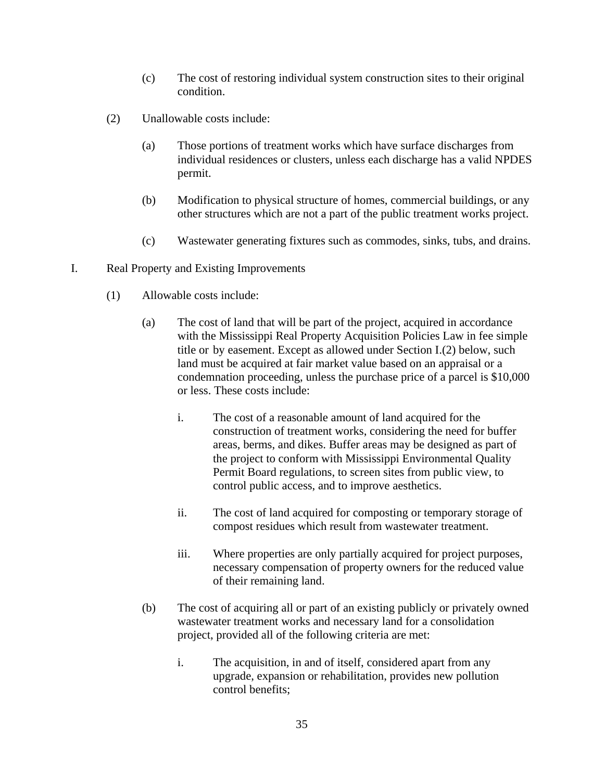- (c) The cost of restoring individual system construction sites to their original condition.
- (2) Unallowable costs include:
	- (a) Those portions of treatment works which have surface discharges from individual residences or clusters, unless each discharge has a valid NPDES permit.
	- (b) Modification to physical structure of homes, commercial buildings, or any other structures which are not a part of the public treatment works project.
	- (c) Wastewater generating fixtures such as commodes, sinks, tubs, and drains.
- I. Real Property and Existing Improvements
	- (1) Allowable costs include:
		- (a) The cost of land that will be part of the project, acquired in accordance with the Mississippi Real Property Acquisition Policies Law in fee simple title or by easement. Except as allowed under Section I.(2) below, such land must be acquired at fair market value based on an appraisal or a condemnation proceeding, unless the purchase price of a parcel is \$10,000 or less. These costs include:
			- i. The cost of a reasonable amount of land acquired for the construction of treatment works, considering the need for buffer areas, berms, and dikes. Buffer areas may be designed as part of the project to conform with Mississippi Environmental Quality Permit Board regulations, to screen sites from public view, to control public access, and to improve aesthetics.
			- ii. The cost of land acquired for composting or temporary storage of compost residues which result from wastewater treatment.
			- iii. Where properties are only partially acquired for project purposes, necessary compensation of property owners for the reduced value of their remaining land.
		- (b) The cost of acquiring all or part of an existing publicly or privately owned wastewater treatment works and necessary land for a consolidation project, provided all of the following criteria are met:
			- i. The acquisition, in and of itself, considered apart from any upgrade, expansion or rehabilitation, provides new pollution control benefits;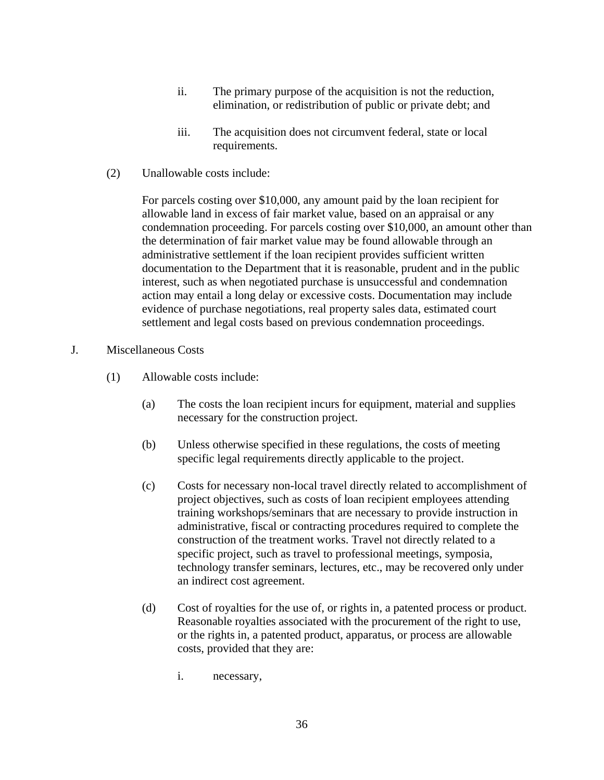- ii. The primary purpose of the acquisition is not the reduction, elimination, or redistribution of public or private debt; and
- iii. The acquisition does not circumvent federal, state or local requirements.
- (2) Unallowable costs include:

For parcels costing over \$10,000, any amount paid by the loan recipient for allowable land in excess of fair market value, based on an appraisal or any condemnation proceeding. For parcels costing over \$10,000, an amount other than the determination of fair market value may be found allowable through an administrative settlement if the loan recipient provides sufficient written documentation to the Department that it is reasonable, prudent and in the public interest, such as when negotiated purchase is unsuccessful and condemnation action may entail a long delay or excessive costs. Documentation may include evidence of purchase negotiations, real property sales data, estimated court settlement and legal costs based on previous condemnation proceedings.

- J. Miscellaneous Costs
	- (1) Allowable costs include:
		- (a) The costs the loan recipient incurs for equipment, material and supplies necessary for the construction project.
		- (b) Unless otherwise specified in these regulations, the costs of meeting specific legal requirements directly applicable to the project.
		- (c) Costs for necessary non-local travel directly related to accomplishment of project objectives, such as costs of loan recipient employees attending training workshops/seminars that are necessary to provide instruction in administrative, fiscal or contracting procedures required to complete the construction of the treatment works. Travel not directly related to a specific project, such as travel to professional meetings, symposia, technology transfer seminars, lectures, etc., may be recovered only under an indirect cost agreement.
		- (d) Cost of royalties for the use of, or rights in, a patented process or product. Reasonable royalties associated with the procurement of the right to use, or the rights in, a patented product, apparatus, or process are allowable costs, provided that they are:
			- i. necessary,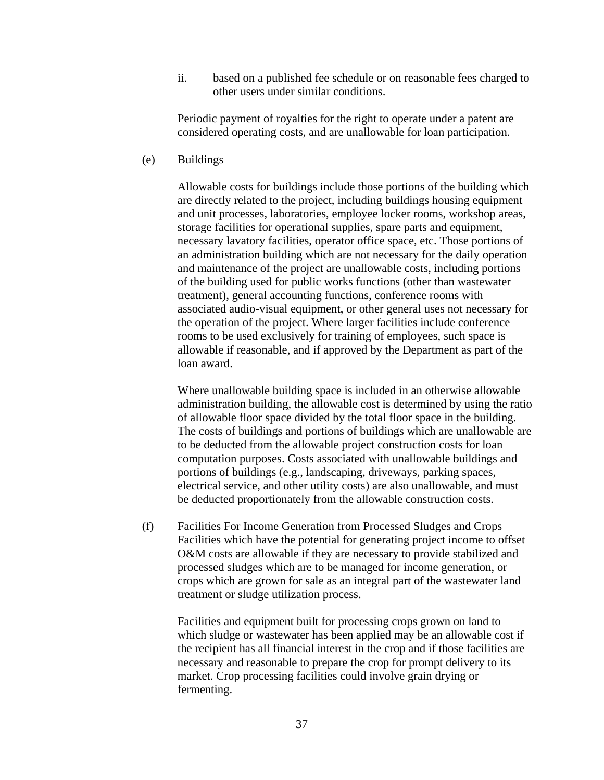ii. based on a published fee schedule or on reasonable fees charged to other users under similar conditions.

Periodic payment of royalties for the right to operate under a patent are considered operating costs, and are unallowable for loan participation.

(e) Buildings

Allowable costs for buildings include those portions of the building which are directly related to the project, including buildings housing equipment and unit processes, laboratories, employee locker rooms, workshop areas, storage facilities for operational supplies, spare parts and equipment, necessary lavatory facilities, operator office space, etc. Those portions of an administration building which are not necessary for the daily operation and maintenance of the project are unallowable costs, including portions of the building used for public works functions (other than wastewater treatment), general accounting functions, conference rooms with associated audio-visual equipment, or other general uses not necessary for the operation of the project. Where larger facilities include conference rooms to be used exclusively for training of employees, such space is allowable if reasonable, and if approved by the Department as part of the loan award.

Where unallowable building space is included in an otherwise allowable administration building, the allowable cost is determined by using the ratio of allowable floor space divided by the total floor space in the building. The costs of buildings and portions of buildings which are unallowable are to be deducted from the allowable project construction costs for loan computation purposes. Costs associated with unallowable buildings and portions of buildings (e.g., landscaping, driveways, parking spaces, electrical service, and other utility costs) are also unallowable, and must be deducted proportionately from the allowable construction costs.

(f) Facilities For Income Generation from Processed Sludges and Crops Facilities which have the potential for generating project income to offset O&M costs are allowable if they are necessary to provide stabilized and processed sludges which are to be managed for income generation, or crops which are grown for sale as an integral part of the wastewater land treatment or sludge utilization process.

Facilities and equipment built for processing crops grown on land to which sludge or wastewater has been applied may be an allowable cost if the recipient has all financial interest in the crop and if those facilities are necessary and reasonable to prepare the crop for prompt delivery to its market. Crop processing facilities could involve grain drying or fermenting.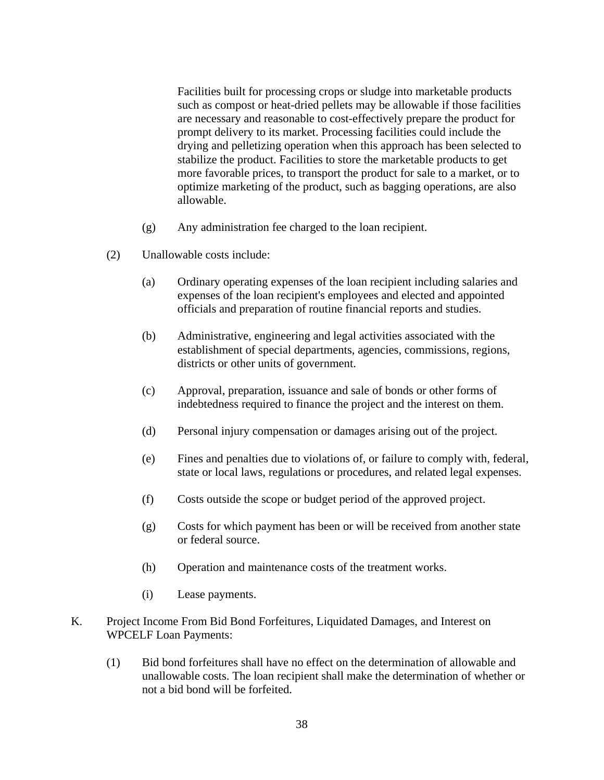Facilities built for processing crops or sludge into marketable products such as compost or heat-dried pellets may be allowable if those facilities are necessary and reasonable to cost-effectively prepare the product for prompt delivery to its market. Processing facilities could include the drying and pelletizing operation when this approach has been selected to stabilize the product. Facilities to store the marketable products to get more favorable prices, to transport the product for sale to a market, or to optimize marketing of the product, such as bagging operations, are also allowable.

- (g) Any administration fee charged to the loan recipient.
- (2) Unallowable costs include:
	- (a) Ordinary operating expenses of the loan recipient including salaries and expenses of the loan recipient's employees and elected and appointed officials and preparation of routine financial reports and studies.
	- (b) Administrative, engineering and legal activities associated with the establishment of special departments, agencies, commissions, regions, districts or other units of government.
	- (c) Approval, preparation, issuance and sale of bonds or other forms of indebtedness required to finance the project and the interest on them.
	- (d) Personal injury compensation or damages arising out of the project.
	- (e) Fines and penalties due to violations of, or failure to comply with, federal, state or local laws, regulations or procedures, and related legal expenses.
	- (f) Costs outside the scope or budget period of the approved project.
	- (g) Costs for which payment has been or will be received from another state or federal source.
	- (h) Operation and maintenance costs of the treatment works.
	- (i) Lease payments.
- K. Project Income From Bid Bond Forfeitures, Liquidated Damages, and Interest on WPCELF Loan Payments:
	- (1) Bid bond forfeitures shall have no effect on the determination of allowable and unallowable costs. The loan recipient shall make the determination of whether or not a bid bond will be forfeited.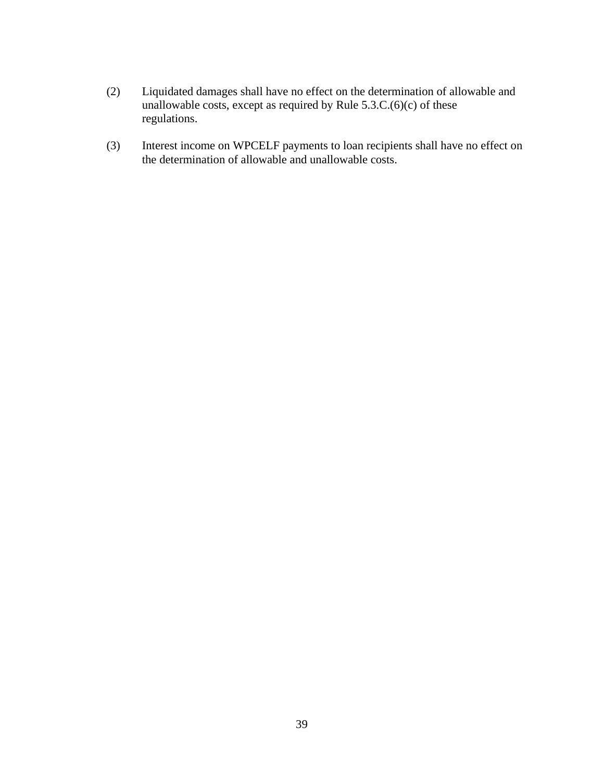- (2) Liquidated damages shall have no effect on the determination of allowable and unallowable costs, except as required by Rule  $5.3.C.(6)(c)$  of these regulations.
- (3) Interest income on WPCELF payments to loan recipients shall have no effect on the determination of allowable and unallowable costs.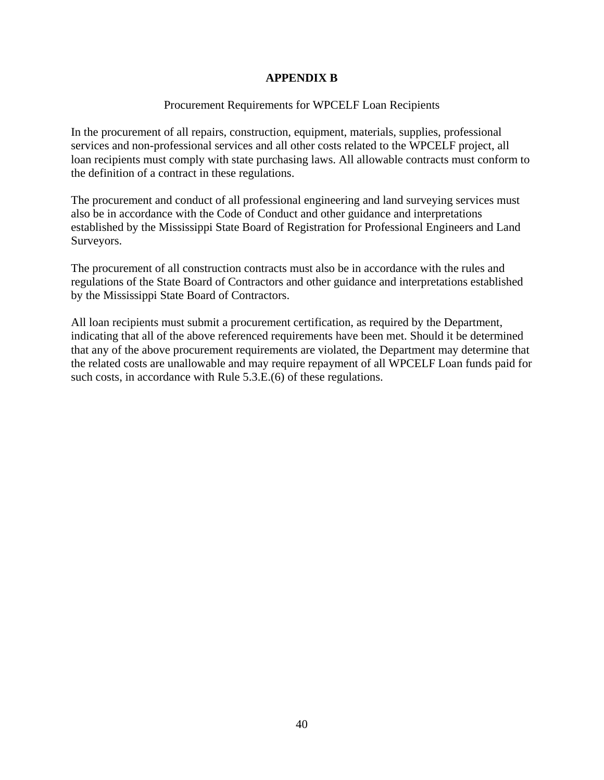## **APPENDIX B**

### Procurement Requirements for WPCELF Loan Recipients

In the procurement of all repairs, construction, equipment, materials, supplies, professional services and non-professional services and all other costs related to the WPCELF project, all loan recipients must comply with state purchasing laws. All allowable contracts must conform to the definition of a contract in these regulations.

The procurement and conduct of all professional engineering and land surveying services must also be in accordance with the Code of Conduct and other guidance and interpretations established by the Mississippi State Board of Registration for Professional Engineers and Land Surveyors.

The procurement of all construction contracts must also be in accordance with the rules and regulations of the State Board of Contractors and other guidance and interpretations established by the Mississippi State Board of Contractors.

All loan recipients must submit a procurement certification, as required by the Department, indicating that all of the above referenced requirements have been met. Should it be determined that any of the above procurement requirements are violated, the Department may determine that the related costs are unallowable and may require repayment of all WPCELF Loan funds paid for such costs, in accordance with Rule 5.3.E.(6) of these regulations.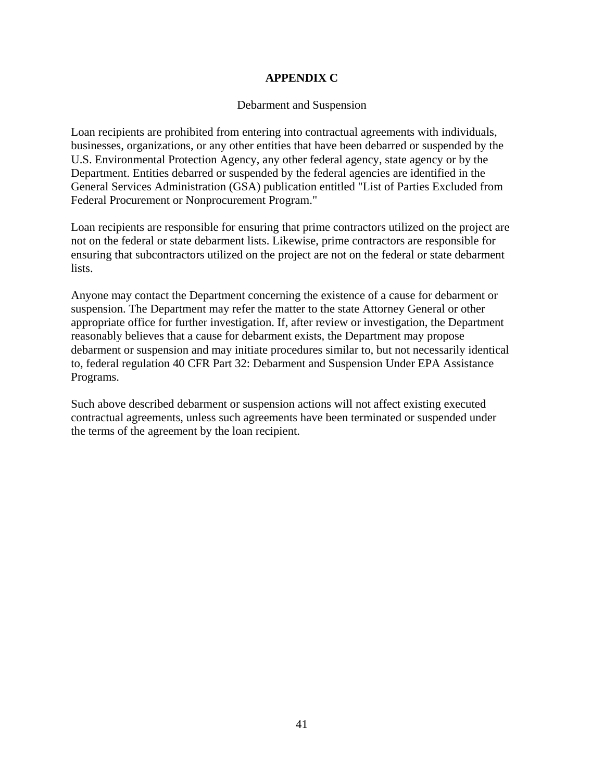## **APPENDIX C**

#### Debarment and Suspension

Loan recipients are prohibited from entering into contractual agreements with individuals, businesses, organizations, or any other entities that have been debarred or suspended by the U.S. Environmental Protection Agency, any other federal agency, state agency or by the Department. Entities debarred or suspended by the federal agencies are identified in the General Services Administration (GSA) publication entitled "List of Parties Excluded from Federal Procurement or Nonprocurement Program."

Loan recipients are responsible for ensuring that prime contractors utilized on the project are not on the federal or state debarment lists. Likewise, prime contractors are responsible for ensuring that subcontractors utilized on the project are not on the federal or state debarment lists.

Anyone may contact the Department concerning the existence of a cause for debarment or suspension. The Department may refer the matter to the state Attorney General or other appropriate office for further investigation. If, after review or investigation, the Department reasonably believes that a cause for debarment exists, the Department may propose debarment or suspension and may initiate procedures similar to, but not necessarily identical to, federal regulation 40 CFR Part 32: Debarment and Suspension Under EPA Assistance Programs.

Such above described debarment or suspension actions will not affect existing executed contractual agreements, unless such agreements have been terminated or suspended under the terms of the agreement by the loan recipient.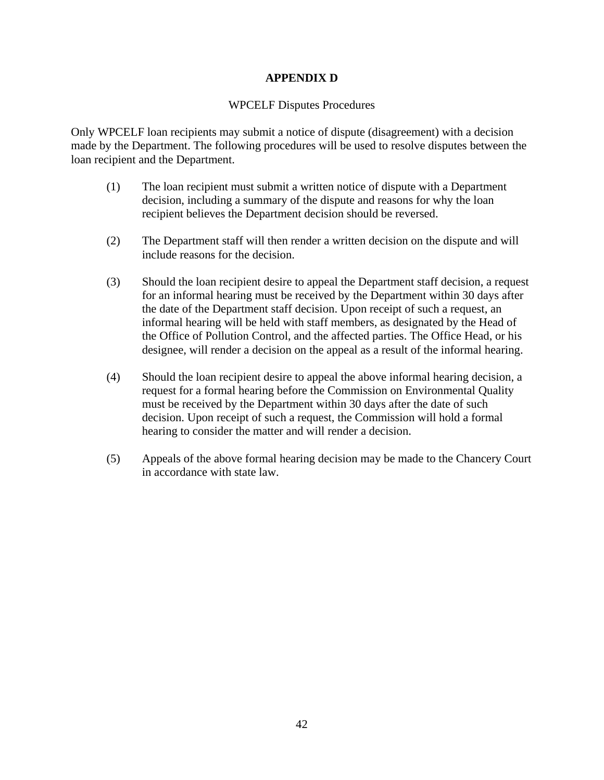## **APPENDIX D**

#### WPCELF Disputes Procedures

Only WPCELF loan recipients may submit a notice of dispute (disagreement) with a decision made by the Department. The following procedures will be used to resolve disputes between the loan recipient and the Department.

- (1) The loan recipient must submit a written notice of dispute with a Department decision, including a summary of the dispute and reasons for why the loan recipient believes the Department decision should be reversed.
- (2) The Department staff will then render a written decision on the dispute and will include reasons for the decision.
- (3) Should the loan recipient desire to appeal the Department staff decision, a request for an informal hearing must be received by the Department within 30 days after the date of the Department staff decision. Upon receipt of such a request, an informal hearing will be held with staff members, as designated by the Head of the Office of Pollution Control, and the affected parties. The Office Head, or his designee, will render a decision on the appeal as a result of the informal hearing.
- (4) Should the loan recipient desire to appeal the above informal hearing decision, a request for a formal hearing before the Commission on Environmental Quality must be received by the Department within 30 days after the date of such decision. Upon receipt of such a request, the Commission will hold a formal hearing to consider the matter and will render a decision.
- (5) Appeals of the above formal hearing decision may be made to the Chancery Court in accordance with state law.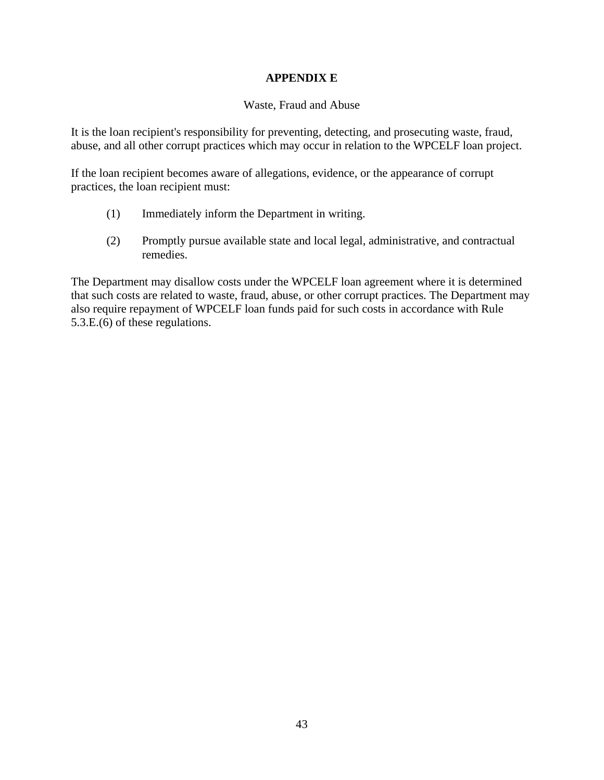## **APPENDIX E**

## Waste, Fraud and Abuse

It is the loan recipient's responsibility for preventing, detecting, and prosecuting waste, fraud, abuse, and all other corrupt practices which may occur in relation to the WPCELF loan project.

If the loan recipient becomes aware of allegations, evidence, or the appearance of corrupt practices, the loan recipient must:

- (1) Immediately inform the Department in writing.
- (2) Promptly pursue available state and local legal, administrative, and contractual remedies.

The Department may disallow costs under the WPCELF loan agreement where it is determined that such costs are related to waste, fraud, abuse, or other corrupt practices. The Department may also require repayment of WPCELF loan funds paid for such costs in accordance with Rule 5.3.E.(6) of these regulations.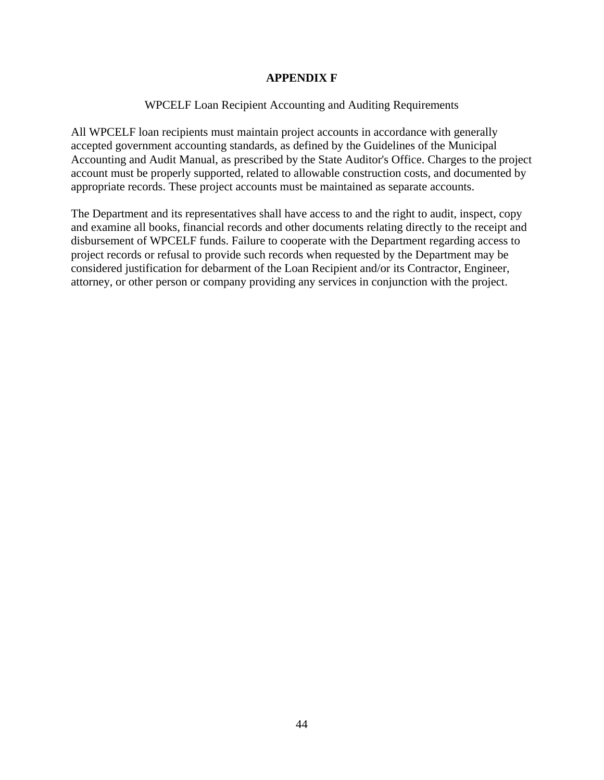## **APPENDIX F**

## WPCELF Loan Recipient Accounting and Auditing Requirements

All WPCELF loan recipients must maintain project accounts in accordance with generally accepted government accounting standards, as defined by the Guidelines of the Municipal Accounting and Audit Manual, as prescribed by the State Auditor's Office. Charges to the project account must be properly supported, related to allowable construction costs, and documented by appropriate records. These project accounts must be maintained as separate accounts.

The Department and its representatives shall have access to and the right to audit, inspect, copy and examine all books, financial records and other documents relating directly to the receipt and disbursement of WPCELF funds. Failure to cooperate with the Department regarding access to project records or refusal to provide such records when requested by the Department may be considered justification for debarment of the Loan Recipient and/or its Contractor, Engineer, attorney, or other person or company providing any services in conjunction with the project.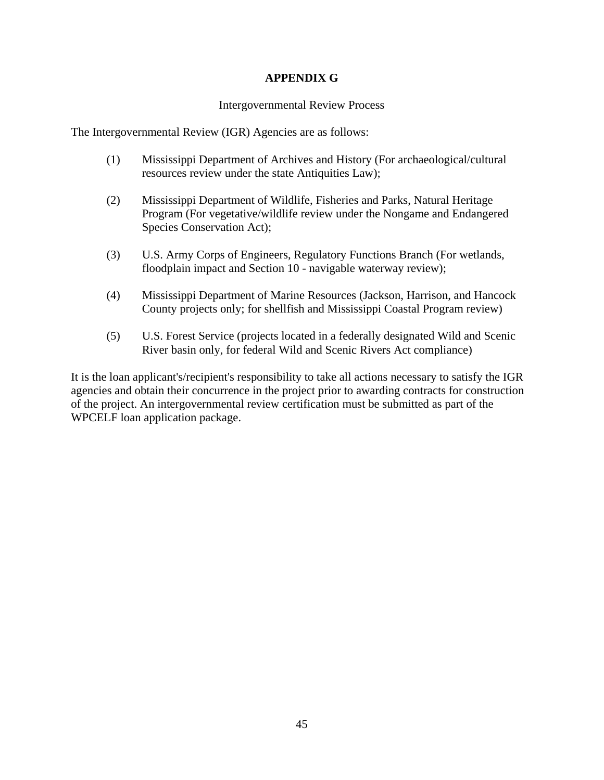## **APPENDIX G**

#### Intergovernmental Review Process

The Intergovernmental Review (IGR) Agencies are as follows:

- (1) Mississippi Department of Archives and History (For archaeological/cultural resources review under the state Antiquities Law);
- (2) Mississippi Department of Wildlife, Fisheries and Parks, Natural Heritage Program (For vegetative/wildlife review under the Nongame and Endangered Species Conservation Act);
- (3) U.S. Army Corps of Engineers, Regulatory Functions Branch (For wetlands, floodplain impact and Section 10 - navigable waterway review);
- (4) Mississippi Department of Marine Resources (Jackson, Harrison, and Hancock County projects only; for shellfish and Mississippi Coastal Program review)
- (5) U.S. Forest Service (projects located in a federally designated Wild and Scenic River basin only, for federal Wild and Scenic Rivers Act compliance)

It is the loan applicant's/recipient's responsibility to take all actions necessary to satisfy the IGR agencies and obtain their concurrence in the project prior to awarding contracts for construction of the project. An intergovernmental review certification must be submitted as part of the WPCELF loan application package.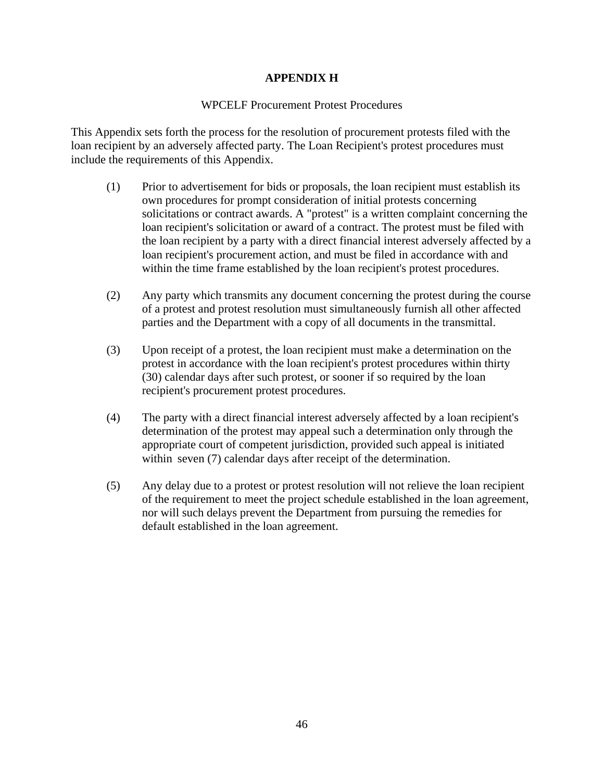## **APPENDIX H**

## WPCELF Procurement Protest Procedures

This Appendix sets forth the process for the resolution of procurement protests filed with the loan recipient by an adversely affected party. The Loan Recipient's protest procedures must include the requirements of this Appendix.

- (1) Prior to advertisement for bids or proposals, the loan recipient must establish its own procedures for prompt consideration of initial protests concerning solicitations or contract awards. A "protest" is a written complaint concerning the loan recipient's solicitation or award of a contract. The protest must be filed with the loan recipient by a party with a direct financial interest adversely affected by a loan recipient's procurement action, and must be filed in accordance with and within the time frame established by the loan recipient's protest procedures.
- (2) Any party which transmits any document concerning the protest during the course of a protest and protest resolution must simultaneously furnish all other affected parties and the Department with a copy of all documents in the transmittal.
- (3) Upon receipt of a protest, the loan recipient must make a determination on the protest in accordance with the loan recipient's protest procedures within thirty (30) calendar days after such protest, or sooner if so required by the loan recipient's procurement protest procedures.
- (4) The party with a direct financial interest adversely affected by a loan recipient's determination of the protest may appeal such a determination only through the appropriate court of competent jurisdiction, provided such appeal is initiated within seven (7) calendar days after receipt of the determination.
- (5) Any delay due to a protest or protest resolution will not relieve the loan recipient of the requirement to meet the project schedule established in the loan agreement, nor will such delays prevent the Department from pursuing the remedies for default established in the loan agreement.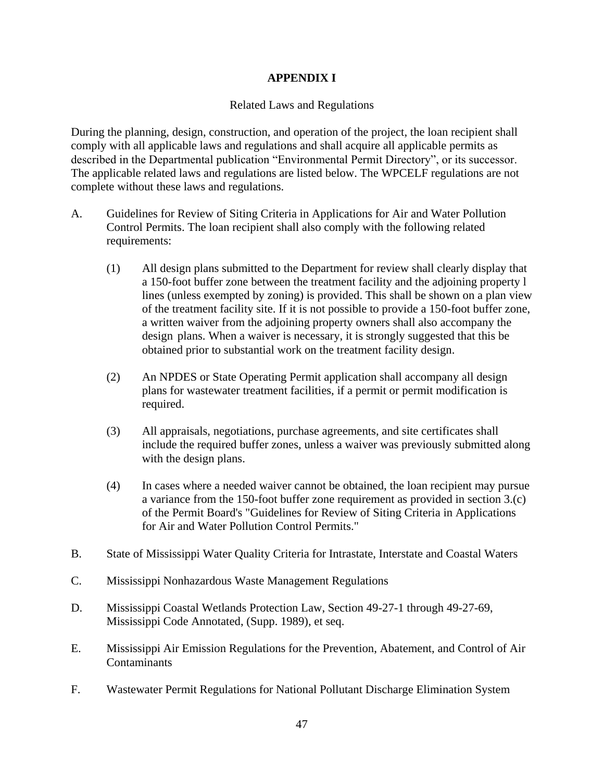# **APPENDIX I**

### Related Laws and Regulations

During the planning, design, construction, and operation of the project, the loan recipient shall comply with all applicable laws and regulations and shall acquire all applicable permits as described in the Departmental publication "Environmental Permit Directory", or its successor. The applicable related laws and regulations are listed below. The WPCELF regulations are not complete without these laws and regulations.

- A. Guidelines for Review of Siting Criteria in Applications for Air and Water Pollution Control Permits. The loan recipient shall also comply with the following related requirements:
	- (1) All design plans submitted to the Department for review shall clearly display that a 150-foot buffer zone between the treatment facility and the adjoining property l lines (unless exempted by zoning) is provided. This shall be shown on a plan view of the treatment facility site. If it is not possible to provide a 150-foot buffer zone, a written waiver from the adjoining property owners shall also accompany the design plans. When a waiver is necessary, it is strongly suggested that this be obtained prior to substantial work on the treatment facility design.
	- (2) An NPDES or State Operating Permit application shall accompany all design plans for wastewater treatment facilities, if a permit or permit modification is required.
	- (3) All appraisals, negotiations, purchase agreements, and site certificates shall include the required buffer zones, unless a waiver was previously submitted along with the design plans.
	- (4) In cases where a needed waiver cannot be obtained, the loan recipient may pursue a variance from the 150-foot buffer zone requirement as provided in section 3.(c) of the Permit Board's "Guidelines for Review of Siting Criteria in Applications for Air and Water Pollution Control Permits."
- B. State of Mississippi Water Quality Criteria for Intrastate, Interstate and Coastal Waters
- C. Mississippi Nonhazardous Waste Management Regulations
- D. Mississippi Coastal Wetlands Protection Law, Section 49-27-1 through 49-27-69, Mississippi Code Annotated, (Supp. 1989), et seq.
- E. Mississippi Air Emission Regulations for the Prevention, Abatement, and Control of Air Contaminants
- F. Wastewater Permit Regulations for National Pollutant Discharge Elimination System